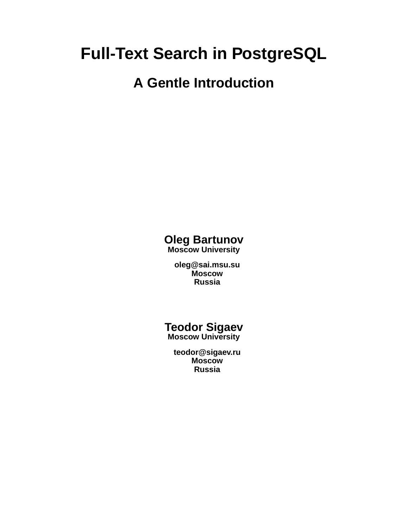# **Full-Text Search in PostgreSQL**

# **A Gentle Introduction**

#### **Oleg Bartunov Moscow University**

**oleg@sai.msu.su Moscow Russia**

**Teodor Sigaev Moscow University**

**teodor@sigaev.ru Moscow Russia**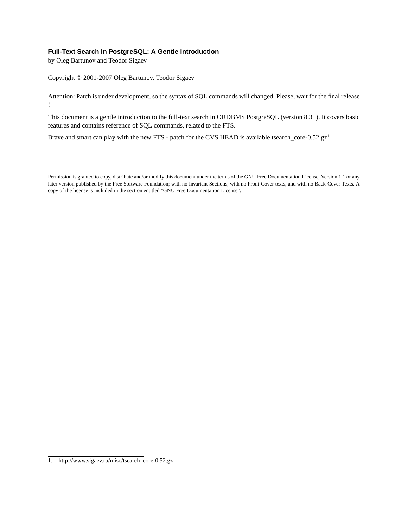#### **Full-Text Search in PostgreSQL: A Gentle Introduction**

by Oleg Bartunov and Teodor Sigaev

Copyright © 2001-2007 Oleg Bartunov, Teodor Sigaev

Attention: Patch is under development, so the syntax of SQL commands will changed. Please, wait for the final release !

This document is a gentle introduction to the full-text search in ORDBMS PostgreSQL (version 8.3+). It covers basic features and contains reference of SQL commands, related to the FTS.

Brave and smart can play with the new FTS - patch for the CVS HEAD is available tsearch\_core-0.52.gz<sup>1</sup>.

Permission is granted to copy, distribute and/or modify this document under the terms of the GNU Free Documentation License, Version 1.1 or any later version published by the Free Software Foundation; with no Invariant Sections, with no Front-Cover texts, and with no Back-Cover Texts. A copy of the license is included in the section entitled "GNU Free Documentation License".

<sup>1.</sup> http://www.sigaev.ru/misc/tsearch\_core-0.52.gz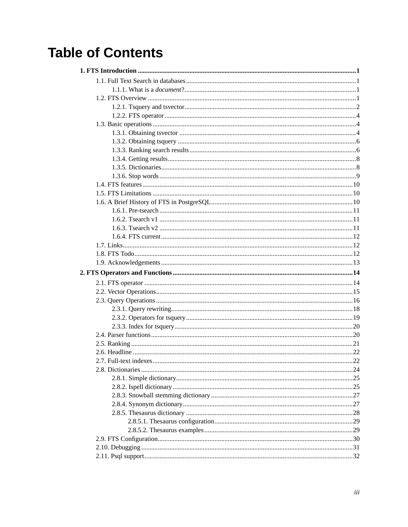# **Table of Contents**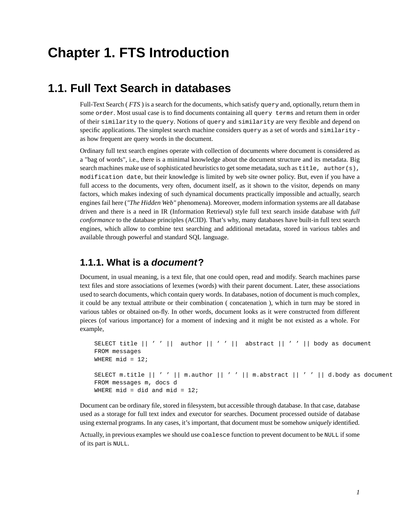# <span id="page-4-1"></span><span id="page-4-0"></span>**Chapter 1. FTS Introduction**

### **1.1. Full Text Search in databases**

Full-Text Search ( *FTS* ) is a search for the documents, which satisfy query and, optionally, return them in some order. Most usual case is to find documents containing all query terms and return them in order of their similarity to the query. Notions of query and similarity are very flexible and depend on specific applications. The simplest search machine considers query as a set of words and similarity as how frequent are query words in the document.

Ordinary full text search engines operate with collection of documents where document is considered as a "bag of words", i.e., there is a minimal knowledge about the document structure and its metadata. Big search machines make use of sophisticated heuristics to get some metadata, such as title, author(s), modification date, but their knowledge is limited by web site owner policy. But, even if you have a full access to the documents, very often, document itself, as it shown to the visitor, depends on many factors, which makes indexing of such dynamical documents practically impossible and actually, search engines fail here (*"The Hidden Web"* phenomena). Moreover, modern information systems are all database driven and there is a need in IR (Information Retrieval) style full text search inside database with *full conformance* to the database principles (ACID). That's why, many databases have built-in full text search engines, which allow to combine text searching and additional metadata, stored in various tables and available through powerful and standard SQL language.

#### <span id="page-4-2"></span>**1.1.1. What is a document?**

Document, in usual meaning, is a text file, that one could open, read and modify. Search machines parse text files and store associations of lexemes (words) with their parent document. Later, these associations used to search documents, which contain query words. In databases, notion of document is much complex, it could be any textual attribute or their combination ( concatenation ), which in turn may be stored in various tables or obtained on-fly. In other words, document looks as it were constructed from different pieces (of various importance) for a moment of indexing and it might be not existed as a whole. For example,

```
SELECT title || ' ' || author || ' ' || abstract || ' ' || body as document
FROM messages
WHERE mid = 12;
SELECT m.title || ' ' || m.author || ' ' || m.abstract || ' ' || d.body as document
FROM messages m, docs d
WHERE mid = did and mid = 12;
```
Document can be ordinary file, stored in filesystem, but accessible through database. In that case, database used as a storage for full text index and executor for searches. Document processed outside of database using external programs. In any cases, it's important, that document must be somehow *uniquely* identified.

<span id="page-4-3"></span>Actually, in previous examples we should use coalesce function to prevent document to be NULL if some of its part is NULL.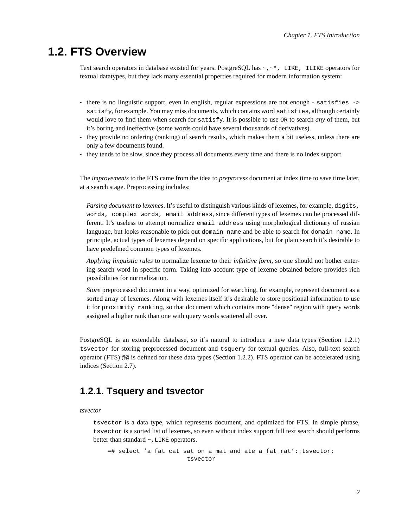### **1.2. FTS Overview**

Text search operators in database existed for years. PostgreSQL has  $\sim$ , $\sim$ \*, LIKE, ILIKE operators for textual datatypes, but they lack many essential properties required for modern information system:

- there is no linguistic support, even in english, regular expressions are not enough satisfies -> satisfy, for example. You may miss documents, which contains word satisfies, although certainly would love to find them when search for satisfy. It is possible to use OR to search *any* of them, but it's boring and ineffective (some words could have several thousands of derivatives).
- they provide no ordering (ranking) of search results, which makes them a bit useless, unless there are only a few documents found.
- they tends to be slow, since they process all documents every time and there is no index support.

The *improvements* to the FTS came from the idea to *preprocess* document at index time to save time later, at a search stage. Preprocessing includes:

*Parsing document to lexemes*. It's useful to distinguish various kinds of lexemes, for example, digits, words, complex words, email address, since different types of lexemes can be processed different. It's useless to attempt normalize email address using morphological dictionary of russian language, but looks reasonable to pick out domain name and be able to search for domain name. In principle, actual types of lexemes depend on specific applications, but for plain search it's desirable to have predefined common types of lexemes.

*Applying linguistic rules* to normalize lexeme to their *infinitive form*, so one should not bother entering search word in specific form. Taking into account type of lexeme obtained before provides rich possibilities for normalization.

*Store* preprocessed document in a way, optimized for searching, for example, represent document as a sorted array of lexemes. Along with lexemes itself it's desirable to store positional information to use it for proximity ranking, so that document which contains more "dense" region with query words assigned a higher rank than one with query words scattered all over.

PostgreSQL is an extendable database, so it's natural to introduce a new data types ([Section 1.2.1\)](#page-5-0) tsvector for storing preprocessed document and tsquery for textual queries. Also, full-text search operator (FTS) @@ is defined for these data types [\(Section 1.2.2\)](#page-7-0). FTS operator can be accelerated using indices ([Section 2.7](#page-25-1)).

### <span id="page-5-0"></span>**1.2.1. Tsquery and tsvector**

#### *tsvector*

tsvector is a data type, which represents document, and optimized for FTS. In simple phrase, tsvector is a sorted list of lexemes, so even without index support full text search should performs better than standard  $\sim$ , LIKE operators.

=# select 'a fat cat sat on a mat and ate a fat rat'::tsvector; tsvector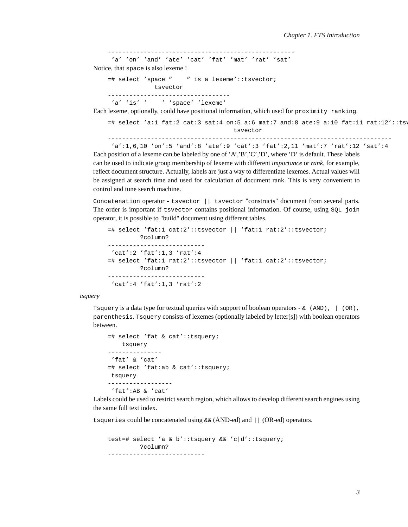```
----------------------------------------------------
'a' 'on' 'and' 'ate' 'cat' 'fat' 'mat' 'rat' 'sat'
```
Notice, that space is also lexeme !

```
=# select 'space " " is a lexeme'::tsvector;
             tsvector
       ----------------------------------
 'a' 'is' ' ' ' ' ' ' space' ' lexeme'
```
Each lexeme, optionally, could have positional information, which used for proximity ranking.

 $=$ # select 'a:1 fat:2 cat:3 sat:4 on:5 a:6 mat:7 and:8 ate:9 a:10 fat:11 rat:12'::tsv tsvector -------------------------------------------------------------------------------

```
'a':1,6,10 'on':5 'and':8 'ate':9 'cat':3 'fat':2,11 'mat':7 'rat':12 'sat':4
```
Each position of a lexeme can be labeled by one of 'A','B','C','D', where 'D' is default. These labels can be used to indicate group membership of lexeme with different *importance* or *rank*, for example, reflect document structure. Actually, labels are just a way to differentiate lexemes. Actual values will be assigned at search time and used for calculation of document rank. This is very convenient to control and tune search machine.

Concatenation operator - tsvector || tsvector "constructs" document from several parts. The order is important if tsvector contains positional information. Of course, using SQL join operator, it is possible to "build" document using different tables.

```
=# select 'fat:1 cat:2'::tsvector || 'fat:1 rat:2'::tsvector;
        ?column?
---------------------------
'cat':2 'fat':1,3 'rat':4
=# select 'fat:1 rat:2'::tsvector || 'fat:1 cat:2'::tsvector;
        ?column?
---------------------------
 'cat':4 'fat':1,3 'rat':2
```
*tsquery*

Tsquery is a data type for textual queries with support of boolean operators -  $\&$  (AND),  $\mid$  (OR), parenthesis. Tsquery consists of lexemes (optionally labeled by letter[s]) with boolean operators between.

```
=# select 'fat & cat'::tsquery;
   tsquery
---------------
'fat' & 'cat'
=# select 'fat:ab & cat'::tsquery;
tsquery
------------------
 'fat':AB & 'cat'
```
Labels could be used to restrict search region, which allows to develop different search engines using the same full text index.

tsqueries could be concatenated using  $&& (AND-ed)$  and  $|| (OR-ed)$  operators.

```
test=# select 'a & b'::tsquery && 'c|d'::tsquery;
        ?column?
---------------------------
```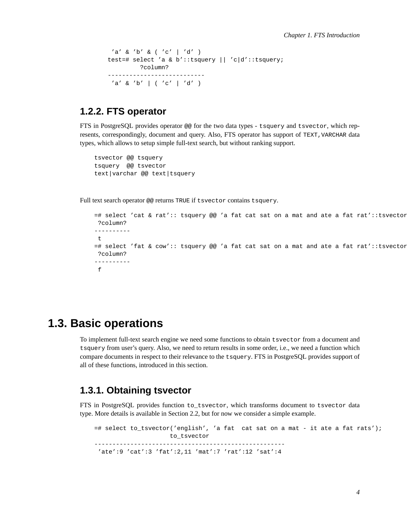```
'a' & 'b' & ( 'c' | 'd' )
test=# select 'a & b'::tsquery || 'c|d'::tsquery;
        ?column?
---------------------------
'a' \& 'b' | ( 'c' | 'd' )
```
### <span id="page-7-0"></span>**1.2.2. FTS operator**

FTS in PostgreSQL provides operator @@ for the two data types - tsquery and tsvector, which represents, correspondingly, document and query. Also, FTS operator has support of TEXT,VARCHAR data types, which allows to setup simple full-text search, but without ranking support.

```
tsvector @@ tsquery
tsquery @@ tsvector
text|varchar @@ text|tsquery
```
Full text search operator @@ returns TRUE if tsvector contains tsquery.

```
=# select 'cat & rat':: tsquery @@ 'a fat cat sat on a mat and ate a fat rat'::tsvector;
?column?
----------
\pm=# select 'fat & cow':: tsquery @@ 'a fat cat sat on a mat and ate a fat rat'::tsvector;
?column?
----------
 f
```
### <span id="page-7-1"></span>**1.3. Basic operations**

To implement full-text search engine we need some functions to obtain tsvector from a document and tsquery from user's query. Also, we need to return results in some order, i.e., we need a function which compare documents in respect to their relevance to the tsquery. FTS in PostgreSQL provides support of all of these functions, introduced in this section.

#### <span id="page-7-2"></span>**1.3.1. Obtaining tsvector**

FTS in PostgreSQL provides function to\_tsvector, which transforms document to tsvector data type. More details is available in [Section 2.2](#page-18-0), but for now we consider a simple example.

=# select to\_tsvector('english', 'a fat cat sat on a mat - it ate a fat rats'); to\_tsvector ----------------------------------------------------- 'ate':9 'cat':3 'fat':2,11 'mat':7 'rat':12 'sat':4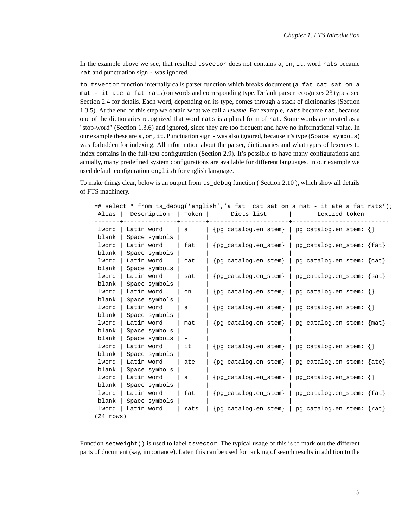In the example above we see, that resulted tsvector does not contains a, on, it, word rats became rat and punctuation sign - was ignored.

to tsvector function internally calls parser function which breaks document (a fat cat sat on a mat - it ate a fat rats) on words and corresponding type. Default parser recognizes 23 types, see [Section 2.4](#page-23-1) for details. Each word, depending on its type, comes through a stack of dictionaries [\(Section](#page-11-1) [1.3.5](#page-11-1)). At the end of this step we obtain what we call a *lexeme*. For example, rats became rat, because one of the dictionaries recognized that word rats is a plural form of rat. Some words are treated as a "stop-word" [\(Section 1.3.6\)](#page-12-0) and ignored, since they are too frequent and have no informational value. In our example these are a,on,it. Punctuation sign - was also ignored, because it's type (Space symbols) was forbidden for indexing. All information about the parser, dictionaries and what types of lexemes to index contains in the full-text configuration ([Section 2.9](#page-33-0)). It's possible to have many configurations and actually, many predefined system configurations are available for different languages. In our example we used default configuration english for english language.

To make things clear, below is an output from ts\_debug function ( [Section 2.10](#page-34-0) ), which show all details of FTS machinery.

|                     |                     |      | =# select * from ts_debug('english','a fat cat sat on a mat - it ate a fat rats'); |                            |  |
|---------------------|---------------------|------|------------------------------------------------------------------------------------|----------------------------|--|
| Alias               | Description   Token |      | Dicts list                                                                         | Lexized token              |  |
| lword               | Latin word          | a    | ${pg\_catalog .en\_stem}$   $pg\_catalog .en\_stem:$ $\}$                          |                            |  |
| blank               | Space symbols       |      |                                                                                    |                            |  |
| lword               | Latin word          | fat  | $\{pg\_catalog. en\_stem\}$   $pg\_catalog. en\_stem:$ $\{fat\}$                   |                            |  |
| blank               | Space symbols       |      |                                                                                    |                            |  |
| lword               | Latin word          | cat  | {pg_catalog.en_stem}                                                               | pg_catalog.en_stem: {cat}  |  |
| blank               | Space symbols       |      |                                                                                    |                            |  |
| lword               | Latin word          | sat  | {pg_catalog.en_stem}                                                               | pg_catalog.en_stem: {sat}  |  |
| blank               | Space symbols       |      |                                                                                    |                            |  |
| lword               | Latin word          | on   | {pg_catalog.en_stem}                                                               | $pg\_catalog,en\_stem: {}$ |  |
| blank               | Space symbols       |      |                                                                                    |                            |  |
| lword               | Latin word          | a    | {pg_catalog.en_stem}                                                               | $pg\_catalog,en\_stem: {}$ |  |
| blank               | Space symbols       |      |                                                                                    |                            |  |
| lword               | Latin word          | mat  | pq_catalog.en_stem}                                                                | pq_catalog.en_stem: {mat}  |  |
| blank               | Space symbols       |      |                                                                                    |                            |  |
| blank               | Space symbols       |      |                                                                                    |                            |  |
| lword               | Latin word          | it   | ${pg\_catalog .en\_stem}$   $pg\_catalog .en\_stem:$ $\}$                          |                            |  |
| blank               | Space symbols       |      |                                                                                    |                            |  |
| lword               | Latin word          | ate  | {pg_catalog.en_stem}                                                               | pg_catalog.en_stem: {ate}  |  |
| blank               | Space symbols       |      |                                                                                    |                            |  |
| lword               | Latin word          | a    | ${pq_cataloq/en stem}$                                                             | $pg\_catalog,en\_stem: {}$ |  |
| blank               | Space symbols       |      |                                                                                    |                            |  |
| lword               | Latin word          | fat  | $\{pg\_catalog . en\_stem\}$                                                       | pg_catalog.en_stem: {fat}  |  |
| blank               | Space symbols       |      |                                                                                    |                            |  |
| lword               | Latin word          | rats | {pg_catalog.en_stem}                                                               | pg_catalog.en_stem: {rat}  |  |
| $(24 \text{ rows})$ |                     |      |                                                                                    |                            |  |

Function setweight() is used to label tsvector. The typical usage of this is to mark out the different parts of document (say, importance). Later, this can be used for ranking of search results in addition to the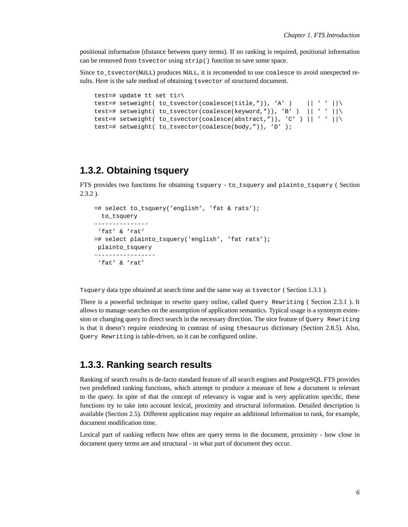positional information (distance between query terms). If no ranking is required, positional information can be removed from tsvector using strip() function to save some space.

Since to tsvector(NULL) produces NULL, it is recomended to use coalesce to avoid unexpected results. Here is the safe method of obtaining tsvector of structured document.

```
test=# update tt set ti=\
test=# setweight( to_tsvector(coalesce(title,")), 'A' ) || ' ' ||\
test=# setweight( to_tsvector(coalesce(keyword,")), 'B' ) || ' ' ||\
test=# setweight( to_tsvector(coalesce(abstract,")), 'C' ) || ' ' ||\
test=# setweight( to tsvector(coalesce(body,")), 'D' );
```
### <span id="page-9-0"></span>**1.3.2. Obtaining tsquery**

FTS provides two functions for obtaining tsquery - to\_tsquery and plainto\_tsquery ( [Section](#page-22-0) [2.3.2](#page-22-0) ).

```
=# select to_tsquery('english', 'fat & rats');
 to_tsquery
---------------
 'fat' & 'rat'
=# select plainto_tsquery('english', 'fat rats');
plainto_tsquery
-----------------
 'fat' & 'rat'
```
Tsquery data type obtained at search time and the same way as tsvector ( [Section 1.3.1](#page-7-2) ).

There is a powerful technique to rewrite query online, called Ouery Rewriting ([Section 2.3.1](#page-21-0)). It allows to manage searches on the assumption of application semantics. Typical usage is a synonym extension or changing query to direct search in the necessary direction. The nice feature of Query Rewriting is that it doesn't require reindexing in contrast of using thesaurus dictionary [\(Section 2.8.5](#page-31-0)). Also, Query Rewriting is table-driven, so it can be configured online.

#### <span id="page-9-1"></span>**1.3.3. Ranking search results**

Ranking of search results is de-facto standard feature of all search engines and PostgreSQL FTS provides two predefined ranking functions, which attempt to produce a measure of how a document is relevant to the query. In spite of that the concept of relevancy is vague and is very application specific, these functions try to take into account lexical, proximity and structural information. Detailed description is available ([Section 2.5\)](#page-24-0). Different application may require an additional information to rank, for example, document modification time.

Lexical part of ranking reflects how often are query terms in the document, proximity - how close in document query terms are and structural - in what part of document they occur.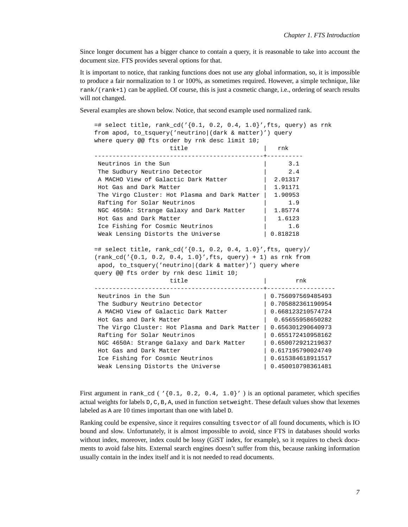Since longer document has a bigger chance to contain a query, it is reasonable to take into account the document size. FTS provides several options for that.

It is important to notice, that ranking functions does not use any global information, so, it is impossible to produce a fair normalization to 1 or 100%, as sometimes required. However, a simple technique, like rank/(rank+1) can be applied. Of course, this is just a cosmetic change, i.e., ordering of search results will not changed.

Several examples are shown below. Notice, that second example used normalized rank.

 $=$ # select title, rank\_cd('{0.1, 0.2, 0.4, 1.0}',fts, query) as rnk from apod, to\_tsquery('neutrino|(dark & matter)') query where query @@ fts order by rnk desc limit 10; title | rnk -----------------------------------------------+---------- Neutrinos in the Sun  $\vert$  3.1<br>The Sudbury Neutrino Detector  $\vert$  3.4 The Sudbury Neutrino Detector | 2.4 A MACHO View of Galactic Dark Matter | 2.01317 Hot Gas and Dark Matter | 1.91171 The Virgo Cluster: Hot Plasma and Dark Matter | 1.90953 Rafting for Solar Neutrinos | 1.9 NGC 4650A: Strange Galaxy and Dark Matter | 1.85774<br>Hot Gas and Dark Matter | 1.6123 Hot Gas and Dark Matter Ice Fishing for Cosmic Neutrinos | 1.6 Weak Lensing Distorts the Universe | 0.818218 =# select title, rank  $cd('{0.1, 0.2, 0.4, 1.0}'', fts, query)/$ (rank\_cd('{0.1, 0.2, 0.4, 1.0}',fts, query) + 1) as rnk from apod, to\_tsquery('neutrino|(dark & matter)') query where query @@ fts order by rnk desc limit 10; title  $|$  rnk -----------------------------------------------+------------------- Neutrinos in the Sun | 0.756097569485493 The Sudbury Neutrino Detector  $| 0.705882361190954$ A MACHO View of Galactic Dark Matter | 0.668123210574724 Hot Gas and Dark Matter | 0.65655958650282 The Virgo Cluster: Hot Plasma and Dark Matter | 0.656301290640973 Rafting for Solar Neutrinos | 0.655172410958162 NGC 4650A: Strange Galaxy and Dark Matter | 0.650072921219637 Hot Gas and Dark Matter | 0.617195790024749 Ice Fishing for Cosmic Neutrinos | 0.615384618911517 Weak Lensing Distorts the Universe 1988 1989 10.450010798361481

First argument in rank\_cd ( $\frac{1}{10.1}$ , 0.2, 0.4, 1.0}') is an optional parameter, which specifies actual weights for labels  $D, C, B, A$ , used in function setweight. These default values show that lexemes labeled as A are 10 times important than one with label D.

Ranking could be expensive, since it requires consulting tsvector of all found documents, which is IO bound and slow. Unfortunately, it is almost impossible to avoid, since FTS in databases should works without index, moreover, index could be lossy (GiST index, for example), so it requires to check documents to avoid false hits. External search engines doesn't suffer from this, because ranking information usually contain in the index itself and it is not needed to read documents.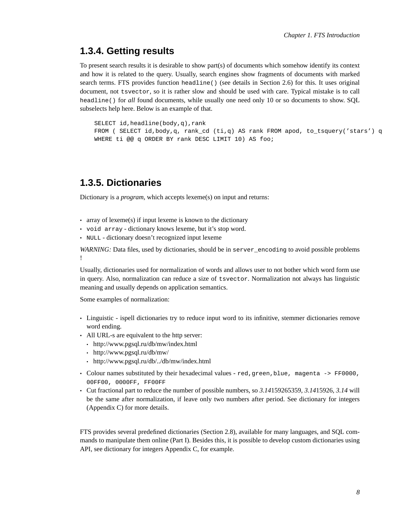#### <span id="page-11-0"></span>**1.3.4. Getting results**

To present search results it is desirable to show part(s) of documents which somehow identify its context and how it is related to the query. Usually, search engines show fragments of documents with marked search terms. FTS provides function headline() (see details in [Section 2.6\)](#page-25-0) for this. It uses original document, not tsvector, so it is rather slow and should be used with care. Typical mistake is to call headline() for *all* found documents, while usually one need only 10 or so documents to show. SQL subselects help here. Below is an example of that.

SELECT id,headline(body,q),rank FROM ( SELECT id,body,q, rank\_cd (ti,q) AS rank FROM apod, to\_tsquery('stars') q WHERE ti @@ q ORDER BY rank DESC LIMIT 10) AS foo;

#### <span id="page-11-1"></span>**1.3.5. Dictionaries**

Dictionary is a *program*, which accepts lexeme(s) on input and returns:

- array of lexeme(s) if input lexeme is known to the dictionary
- void array dictionary knows lexeme, but it's stop word.
- NULL dictionary doesn't recognized input lexeme

*WARNING*: Data files, used by dictionaries, should be in server\_encoding to avoid possible problems !

Usually, dictionaries used for normalization of words and allows user to not bother which word form use in query. Also, normalization can reduce a size of tsvector. Normalization not always has linguistic meaning and usually depends on application semantics.

Some examples of normalization:

- Linguistic ispell dictionaries try to reduce input word to its infinitive, stemmer dictionaries remove word ending.
- All URL-s are equivalent to the http server:
	- http://www.pgsql.ru/db/mw/index.html
	- http://www.pgsql.ru/db/mw/
	- http://www.pgsql.ru/db/../db/mw/index.html
- Colour names substituted by their hexadecimal values red,green,blue, magenta -> FF0000, 00FF00, 0000FF, FF00FF
- Cut fractional part to reduce the number of possible numbers, so *3.14*159265359, *3.14*15926, *3.14* will be the same after normalization, if leave only two numbers after period. See dictionary for integers ([Appendix C](#page-71-0)) for more details.

FTS provides several predefined dictionaries ([Section 2.8\)](#page-27-0), available for many languages, and SQL commands to manipulate them online ([Part I](#page-39-0)). Besides this, it is possible to develop custom dictionaries using API, see dictionary for integers [Appendix C](#page-71-0), for example.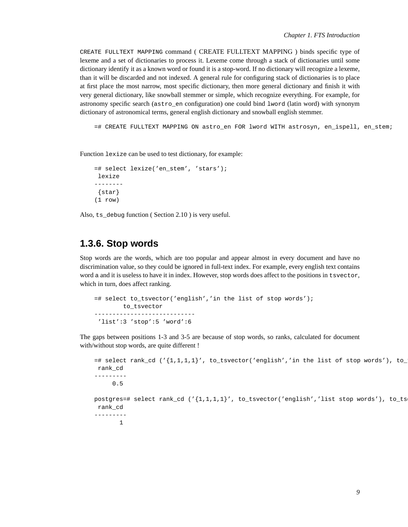CREATE FULLTEXT MAPPING command ( [CREATE FULLTEXT MAPPING](#page-51-0) ) binds specific type of lexeme and a set of dictionaries to process it. Lexeme come through a stack of dictionaries until some dictionary identify it as a known word or found it is a stop-word. If no dictionary will recognize a lexeme, than it will be discarded and not indexed. A general rule for configuring stack of dictionaries is to place at first place the most narrow, most specific dictionary, then more general dictionary and finish it with very general dictionary, like snowball stemmer or simple, which recognize everything. For example, for astronomy specific search (astro\_en configuration) one could bind lword (latin word) with synonym dictionary of astronomical terms, general english dictionary and snowball english stemmer.

=# CREATE FULLTEXT MAPPING ON astro\_en FOR lword WITH astrosyn, en\_ispell, en\_stem;

Function lexize can be used to test dictionary, for example:

```
=# select lexize('en_stem', 'stars');
lexize
--------
 {star}
(1 row)
```
<span id="page-12-0"></span>Also, ts\_debug function ( [Section 2.10](#page-34-0) ) is very useful.

#### **1.3.6. Stop words**

Stop words are the words, which are too popular and appear almost in every document and have no discrimination value, so they could be ignored in full-text index. For example, every english text contains word a and it is useless to have it in index. However, stop words does affect to the positions in tsvector, which in turn, does affect ranking.

```
=# select to_tsvector('english','in the list of stop words');
       to_tsvector
----------------------------
 'list':3 'stop':5 'word':6
```
The gaps between positions 1-3 and 3-5 are because of stop words, so ranks, calculated for document with/without stop words, are quite different !

```
=# select rank_cd ('{1,1,1,1}'', to_t$ vector('english','in the list of stop words'), to_trank_cd
---------
     0.5
postgres=# select rank_cd ('{1,1,1,1}',, to_tsvector('english','list stop words'), to_ts
rank_cd
---------
       1
```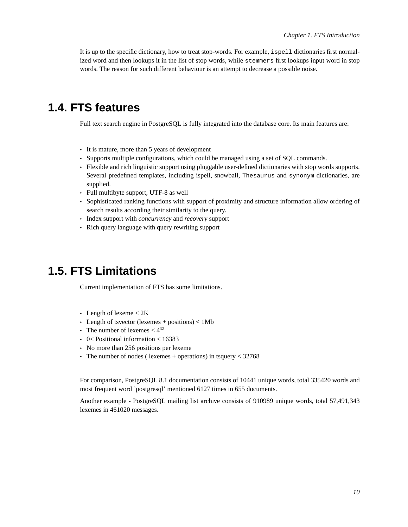It is up to the specific dictionary, how to treat stop-words. For example, ispell dictionaries first normalized word and then lookups it in the list of stop words, while stemmers first lookups input word in stop words. The reason for such different behaviour is an attempt to decrease a possible noise.

## <span id="page-13-0"></span>**1.4. FTS features**

Full text search engine in PostgreSQL is fully integrated into the database core. Its main features are:

- It is mature, more than 5 years of development
- Supports multiple configurations, which could be managed using a set of SQL commands.
- Flexible and rich linguistic support using pluggable user-defined dictionaries with stop words supports. Several predefined templates, including ispell, snowball, Thesaurus and synonym dictionaries, are supplied.
- Full multibyte support, UTF-8 as well
- Sophisticated ranking functions with support of proximity and structure information allow ordering of search results according their similarity to the query.
- Index support with *concurrency* and *recovery* support
- Rich query language with query rewriting support

## <span id="page-13-1"></span>**1.5. FTS Limitations**

Current implementation of FTS has some limitations.

- Length of lexeme < 2K
- Length of tsvector (lexemes + positions)  $< 1Mb$
- The number of lexemes  $\lt 4^{32}$
- 0< Positional information  $<$  16383
- No more than 256 positions per lexeme
- The number of nodes (lexemes + operations) in tsquery <  $32768$

For comparison, PostgreSQL 8.1 documentation consists of 10441 unique words, total 335420 words and most frequent word 'postgresql' mentioned 6127 times in 655 documents.

<span id="page-13-2"></span>Another example - PostgreSQL mailing list archive consists of 910989 unique words, total 57,491,343 lexemes in 461020 messages.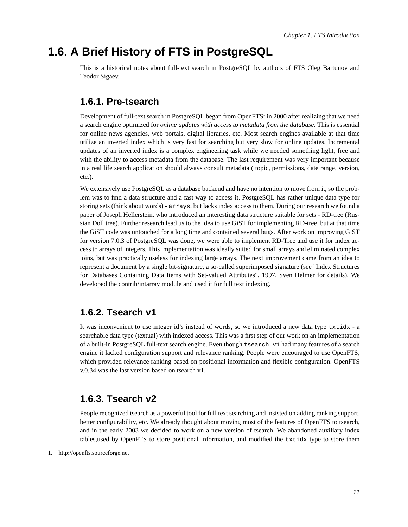## <span id="page-14-0"></span>**1.6. A Brief History of FTS in PostgreSQL**

This is a historical notes about full-text search in PostgreSQL by authors of FTS Oleg Bartunov and Teodor Sigaev.

### **1.6.1. Pre-tsearch**

Development of full-text search in PostgreSQL began from OpenFTS $^{\rm l}$  in 2000 after realizing that we need a search engine optimized for *online updates with access to metadata from the database*. This is essential for online news agencies, web portals, digital libraries, etc. Most search engines available at that time utilize an inverted index which is very fast for searching but very slow for online updates. Incremental updates of an inverted index is a complex engineering task while we needed something light, free and with the ability to access metadata from the database. The last requirement was very important because in a real life search application should always consult metadata ( topic, permissions, date range, version, etc.).

We extensively use PostgreSQL as a database backend and have no intention to move from it, so the problem was to find a data structure and a fast way to access it. PostgreSQL has rather unique data type for storing sets (think about words) - arrays, but lacks index access to them. During our research we found a paper of Joseph Hellerstein, who introduced an interesting data structure suitable for sets - RD-tree (Russian Doll tree). Further research lead us to the idea to use GiST for implementing RD-tree, but at that time the GiST code was untouched for a long time and contained several bugs. After work on improving GiST for version 7.0.3 of PostgreSQL was done, we were able to implement RD-Tree and use it for index access to arrays of integers. This implementation was ideally suited for small arrays and eliminated complex joins, but was practically useless for indexing large arrays. The next improvement came from an idea to represent a document by a single bit-signature, a so-called superimposed signature (see "Index Structures for Databases Containing Data Items with Set-valued Attributes", 1997, Sven Helmer for details). We developed the contrib/intarray module and used it for full text indexing.

### <span id="page-14-1"></span>**1.6.2. Tsearch v1**

It was inconvenient to use integer id's instead of words, so we introduced a new data type txtidx - a searchable data type (textual) with indexed access. This was a first step of our work on an implementation of a built-in PostgreSQL full-text search engine. Even though tsearch v1 had many features of a search engine it lacked configuration support and relevance ranking. People were encouraged to use OpenFTS, which provided relevance ranking based on positional information and flexible configuration. OpenFTS v.0.34 was the last version based on tsearch v1.

### <span id="page-14-2"></span>**1.6.3. Tsearch v2**

People recognized tsearch as a powerful tool for full text searching and insisted on adding ranking support, better configurability, etc. We already thought about moving most of the features of OpenFTS to tsearch, and in the early 2003 we decided to work on a new version of tsearch. We abandoned auxiliary index tables,used by OpenFTS to store positional information, and modified the txtidx type to store them

<sup>1.</sup> http://openfts.sourceforge.net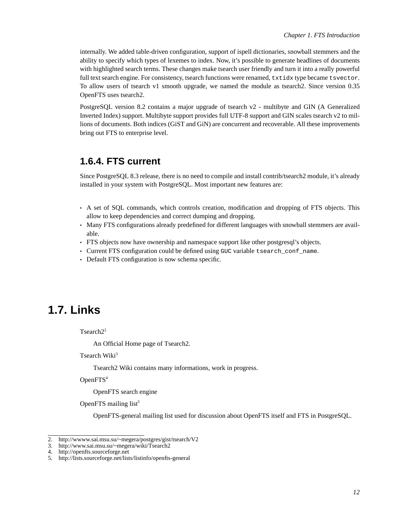<span id="page-15-3"></span>internally. We added table-driven configuration, support of ispell dictionaries, snowball stemmers and the ability to specify which types of lexemes to index. Now, it's possible to generate headlines of documents with highlighted search terms. These changes make tsearch user friendly and turn it into a really powerful full text search engine. For consistency, tsearch functions were renamed, txtidx type became tsvector. To allow users of tsearch v1 smooth upgrade, we named the module as tsearch2. Since version 0.35 OpenFTS uses tsearch2.

PostgreSQL version 8.2 contains a major upgrade of tsearch v2 - multibyte and GIN (A Generalized Inverted Index) support. Multibyte support provides full UTF-8 support and GIN scales tsearch v2 to millions of documents. Both indices (GiST and GiN) are concurrent and recoverable. All these improvements bring out FTS to enterprise level.

#### <span id="page-15-0"></span>**1.6.4. FTS current**

Since PostgreSQL 8.3 release, there is no need to compile and install contrib/tsearch2 module, it's already installed in your system with PostgreSQL. Most important new features are:

- A set of SQL commands, which controls creation, modification and dropping of FTS objects. This allow to keep dependencies and correct dumping and dropping.
- Many FTS configurations already predefined for different languages with snowball stemmers are available.
- FTS objects now have ownership and namespace support like other postgresql's objects.
- Current FTS configuration could be defined using GUC variable tsearch\_conf\_name.
- Default FTS configuration is now schema specific.

## <span id="page-15-1"></span>**1.7. Links**

Tsearch<sup>22</sup>

An Official Home page of Tsearch2.

Tsearch Wiki<sup>3</sup>

Tsearch2 Wiki contains many informations, work in progress.

OpenFTS<sup>4</sup>

OpenFTS search engine

OpenFTS mailing list<sup>5</sup>

OpenFTS-general mailing list used for discussion about OpenFTS itself and FTS in PostgreSQL.

<span id="page-15-2"></span><sup>2.</sup> http://wwww.sai.msu.su/~megera/postgres/gist/tsearch/V2<br>3. http://www.sai.msu.su/~megera/wiki/Tsearch2

<sup>3.</sup> http://www.sai.msu.su/~megera/wiki/Tsearch2<br>4. http://openfts.sourceforge.net

<sup>4.</sup> http://openfts.sourceforge.net<br>5. http://lists.sourceforge.net/list

<sup>5.</sup> http://lists.sourceforge.net/lists/listinfo/openfts-general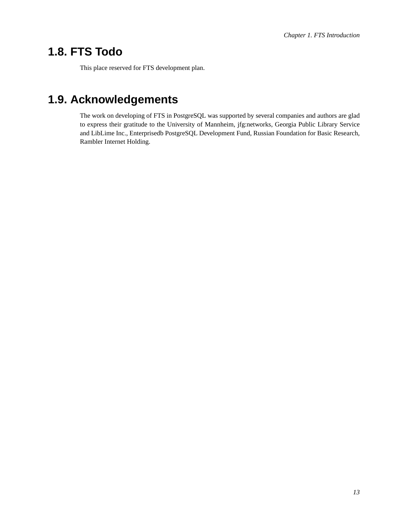## **1.8. FTS Todo**

This place reserved for FTS development plan.

## **1.9. Acknowledgements**

The work on developing of FTS in PostgreSQL was supported by several companies and authors are glad to express their gratitude to the University of Mannheim, jfg:networks, Georgia Public Library Service and LibLime Inc., Enterprisedb PostgreSQL Development Fund, Russian Foundation for Basic Research, Rambler Internet Holding.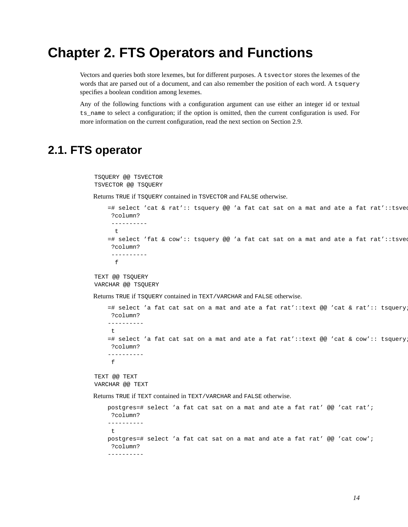## <span id="page-17-0"></span>**Chapter 2. FTS Operators and Functions**

Vectors and queries both store lexemes, but for different purposes. A tsvector stores the lexemes of the words that are parsed out of a document, and can also remember the position of each word. A tsquery specifies a boolean condition among lexemes.

Any of the following functions with a configuration argument can use either an integer id or textual ts\_name to select a configuration; if the option is omitted, then the current configuration is used. For more information on the current configuration, read the next section on [Section 2.9.](#page-33-0)

## <span id="page-17-1"></span>**2.1. FTS operator**

```
TSQUERY @@ TSVECTOR
TSVECTOR @@ TSQUERY
```
Returns TRUE if TSQUERY contained in TSVECTOR and FALSE otherwise.

```
=# select 'cat & rat':: tsquery @@ 'a fat cat sat on a mat and ate a fat rat'::tsvee
?column?
 ----------
 t
=# select 'fat & cow':: tsquery @@ 'a fat cat sat on a mat and ate a fat rat'::tsvee
?column?
 ----------
 f
```
TEXT @@ TSQUERY VARCHAR @@ TSQUERY

Returns TRUE if TSQUERY contained in TEXT/VARCHAR and FALSE otherwise.

```
=# select 'a fat cat sat on a mat and ate a fat rat'::text @@ 'cat & rat':: tsquery;
    ?column?
    ----------
     \ddot{\phantom{1}}=# select 'a fat cat sat on a mat and ate a fat rat'::text @@ 'cat & cow':: tsquery;
    ?column?
    ----------
     f
TEXT @@ TEXT
VARCHAR @@ TEXT
```
Returns TRUE if TEXT contained in TEXT/VARCHAR and FALSE otherwise.

```
postgres=# select 'a fat cat sat on a mat and ate a fat rat' @@ 'cat rat';
?column?
----------
\pmpostgres=# select 'a fat cat sat on a mat and ate a fat rat' @@ 'cat cow';
?column?
----------
```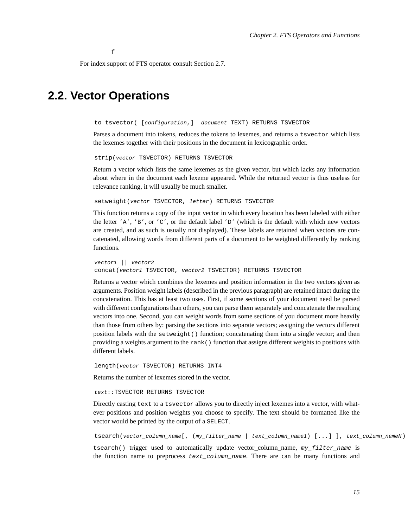f

For index support of FTS operator consult [Section 2.7.](#page-25-1)

### <span id="page-18-0"></span>**2.2. Vector Operations**

to\_tsvector( [configuration,] document TEXT) RETURNS TSVECTOR

Parses a document into tokens, reduces the tokens to lexemes, and returns a tsvector which lists the lexemes together with their positions in the document in lexicographic order.

strip(vector TSVECTOR) RETURNS TSVECTOR

Return a vector which lists the same lexemes as the given vector, but which lacks any information about where in the document each lexeme appeared. While the returned vector is thus useless for relevance ranking, it will usually be much smaller.

setweight(vector TSVECTOR, letter) RETURNS TSVECTOR

This function returns a copy of the input vector in which every location has been labeled with either the letter 'A', 'B', or 'C', or the default label 'D' (which is the default with which new vectors are created, and as such is usually not displayed). These labels are retained when vectors are concatenated, allowing words from different parts of a document to be weighted differently by ranking functions.

vector1 || vector2 concat(vector1 TSVECTOR, vector2 TSVECTOR) RETURNS TSVECTOR

Returns a vector which combines the lexemes and position information in the two vectors given as arguments. Position weight labels (described in the previous paragraph) are retained intact during the concatenation. This has at least two uses. First, if some sections of your document need be parsed with different configurations than others, you can parse them separately and concatenate the resulting vectors into one. Second, you can weight words from some sections of you document more heavily than those from others by: parsing the sections into separate vectors; assigning the vectors different position labels with the setweight() function; concatenating them into a single vector; and then providing a weights argument to the rank() function that assigns different weights to positions with different labels.

length(vector TSVECTOR) RETURNS INT4

Returns the number of lexemes stored in the vector.

text::TSVECTOR RETURNS TSVECTOR

Directly casting text to a tsvector allows you to directly inject lexemes into a vector, with whatever positions and position weights you choose to specify. The text should be formatted like the vector would be printed by the output of a SELECT.

tsearch(vector\_column\_name[, (my\_filter\_name | text\_column\_name1) [...] ], text\_column\_nameN)

tsearch() trigger used to automatically update vector column name,  $my\_filter$  name is the function name to preprocess text\_column\_name. There are can be many functions and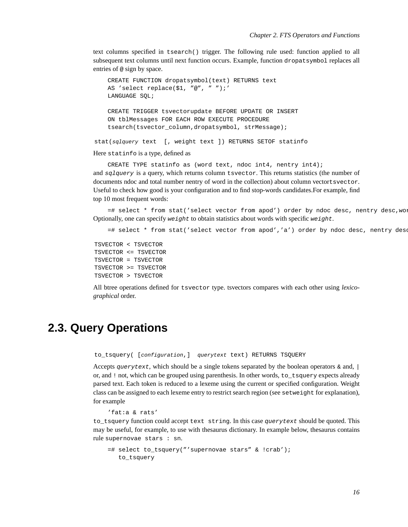text columns specified in tsearch() trigger. The following rule used: function applied to all subsequent text columns until next function occurs. Example, function dropatsymbol replaces all entries of @ sign by space.

```
CREATE FUNCTION dropatsymbol(text) RETURNS text
   AS 'select replace($1, "@", " ");'
   LANGUAGE SQL;
   CREATE TRIGGER tsvectorupdate BEFORE UPDATE OR INSERT
   ON tblMessages FOR EACH ROW EXECUTE PROCEDURE
   tsearch(tsvector_column,dropatsymbol, strMessage);
stat(sqlquery text [, weight text ]) RETURNS SETOF statinfo
```
Here statinfo is a type, defined as

CREATE TYPE statinfo as (word text, ndoc int4, nentry int4); and sqlquery is a query, which returns column tsvector. This returns statistics (the number of documents ndoc and total number nentry of word in the collection) about column vectortsvector. Useful to check how good is your configuration and to find stop-words candidates.For example, find top 10 most frequent words:

=# select \* from stat('select vector from apod') order by ndoc desc, nentry desc,wo: Optionally, one can specify  $weight$  to obtain statistics about words with specific  $weight$ .

=# select \* from stat('select vector from apod','a') order by ndoc desc, nentry dese

```
TSVECTOR < TSVECTOR
TSVECTOR <= TSVECTOR
TSVECTOR = TSVECTOR
TSVECTOR >= TSVECTOR
TSVECTOR > TSVECTOR
```
All btree operations defined for tsvector type. tsvectors compares with each other using *lexicographical* order.

### <span id="page-19-0"></span>**2.3. Query Operations**

to\_tsquery( [configuration,] querytext text) RETURNS TSQUERY

Accepts querytext, which should be a single tokens separated by the boolean operators  $\&$  and,  $\vert$ or, and ! not, which can be grouped using parenthesis. In other words, to\_tsquery expects already parsed text. Each token is reduced to a lexeme using the current or specified configuration. Weight class can be assigned to each lexeme entry to restrict search region (see setweight for explanation), for example

```
'fat:a & rats'
```
to\_tsquery function could accept text string. In this case querytext should be quoted. This may be useful, for example, to use with thesaurus dictionary. In example below, thesaurus contains rule supernovae stars : sn.

```
=# select to_tsquery("'supernovae stars" & !crab');
  to_tsquery
```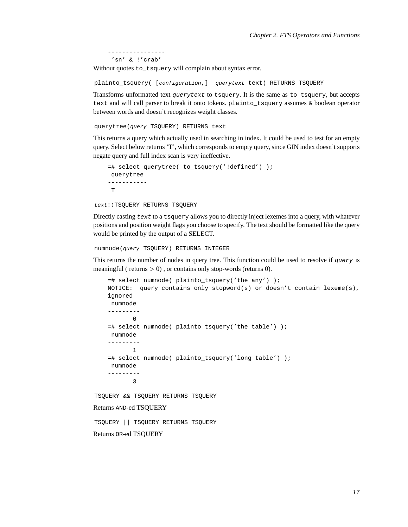---------------- 'sn' & !'crab'

Without quotes to\_tsquery will complain about syntax error.

plainto\_tsquery( [configuration,] querytext text) RETURNS TSQUERY

Transforms unformatted text *querytext* to tsquery. It is the same as to tsquery, but accepts text and will call parser to break it onto tokens. plainto\_tsquery assumes & boolean operator between words and doesn't recognizes weight classes.

querytree(query TSQUERY) RETURNS text

This returns a query which actually used in searching in index. It could be used to test for an empty query. Select below returns 'T', which corresponds to empty query, since GIN index doesn't supports negate query and full index scan is very ineffective.

```
=# select querytree( to_tsquery('!defined') );
querytree
-----------
T
```
text::TSQUERY RETURNS TSQUERY

Directly casting text to a tsquery allows you to directly inject lexemes into a query, with whatever positions and position weight flags you choose to specify. The text should be formatted like the query would be printed by the output of a SELECT.

numnode(query TSQUERY) RETURNS INTEGER

This returns the number of nodes in query tree. This function could be used to resolve if query is meaningful ( returns  $> 0$ ), or contains only stop-words (returns 0).

```
=# select numnode( plainto_tsquery('the any') );
    NOTICE: query contains only stopword(s) or doesn't contain lexeme(s),
    ignored
    numnode
    ---------
           \Omega=# select numnode( plainto_tsquery('the table') );
    numnode
    ---------
           1
    =# select numnode( plainto_tsquery('long table') );
    numnode
    ---------
           3
TSQUERY && TSQUERY RETURNS TSQUERY
Returns AND-ed TSQUERY
TSQUERY || TSQUERY RETURNS TSQUERY
```
Returns OR-ed TSQUERY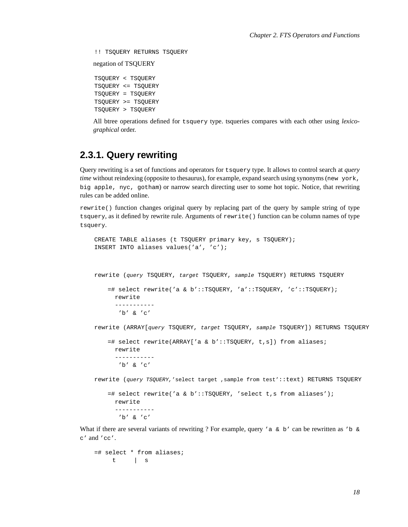!! TSQUERY RETURNS TSQUERY

negation of TSQUERY

TSQUERY < TSQUERY TSQUERY <= TSQUERY TSQUERY = TSQUERY TSQUERY >= TSQUERY TSQUERY > TSQUERY

All btree operations defined for tsquery type. tsqueries compares with each other using *lexicographical* order.

### <span id="page-21-0"></span>**2.3.1. Query rewriting**

Query rewriting is a set of functions and operators for tsquery type. It allows to control search at *query time* without reindexing (opposite to thesaurus), for example, expand search using synonyms (new york, big apple, nyc, gotham) or narrow search directing user to some hot topic. Notice, that rewriting rules can be added online.

rewrite() function changes original query by replacing part of the query by sample string of type tsquery, as it defined by rewrite rule. Arguments of rewrite() function can be column names of type tsquery.

```
CREATE TABLE aliases (t TSQUERY primary key, s TSQUERY);
INSERT INTO aliases values('a', 'c');
rewrite (query TSQUERY, target TSQUERY, sample TSQUERY) RETURNS TSQUERY
   =# select rewrite('a & b'::TSQUERY, 'a'::TSQUERY, 'c'::TSQUERY);
     rewrite
      -----------
       'b' & 'c'
rewrite (ARRAY[query TSQUERY, target TSQUERY, sample TSQUERY]) RETURNS TSQUERY
   =# select rewrite(ARRAY['a & b'::TSQUERY, t,s]) from aliases;
     rewrite
      -----------
      'b' & 'c'
rewrite (query TSQUERY,'select target ,sample from test'::text) RETURNS TSQUERY
   =# select rewrite('a & b'::TSQUERY, 'select t,s from aliases');
     rewrite
      -----------
       'b' & 'c'
```
What if there are several variants of rewriting ? For example, query 'a  $\&$  b' can be rewritten as 'b  $\&$ c' and 'cc'.

```
=# select * from aliases;
    t | s
```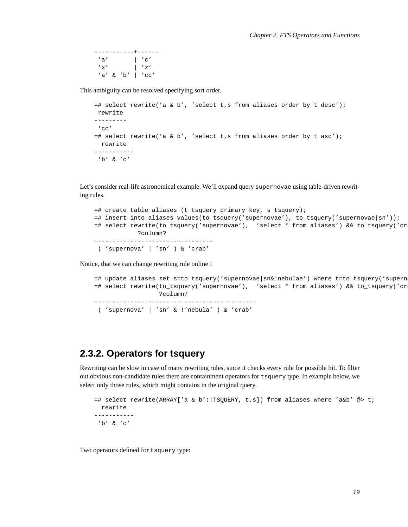-----------+------  $'$ a' |  $'$  c'  $'x'$  | 'z' 'a' & 'b' | 'cc'

This ambiguity can be resolved specifying sort order.

```
=# select rewrite('a & b', 'select t,s from aliases order by t desc');
rewrite
---------
'cc'
=\# select rewrite('a & b', 'select t,s from aliases order by t asc');
 rewrite
-----------
 'b' & 'c'
```
Let's consider real-life astronomical example. We'll expand query supernovae using table-driven rewriting rules.

```
=# create table aliases (t tsquery primary key, s tsquery);
=# insert into aliases values(to_tsquery('supernovae'), to_tsquery('supernovae|sn'));
=# select rewrite(to_tsquery('supernovae'), 'select * from aliases') && to_tsquery('crab');
           ?column?
---------------------------------
 ( 'supernova' | 'sn' ) & 'crab'
```
Notice, that we can change rewriting rule online !

```
=# update aliases set s=to_tsquery('supernovae|sn&!nebulae') where t=to_tsquery('supern
=# select rewrite(to_tsquery('supernovae'), 'select * from aliases') && to_tsquery('crab');
                 ?column?
---------------------------------------------
( 'supernova' | 'sn' & !'nebula' ) & 'crab'
```
### <span id="page-22-0"></span>**2.3.2. Operators for tsquery**

Rewriting can be slow in case of many rewriting rules, since it checks every rule for possible hit. To filter out obvious non-candidate rules there are containment operators for tsquery type. In example below, we select only those rules, which might contains in the original query.

```
=# select rewrite(ARRAY['a & b'::TSQUERY, t,s]) from aliases where 'a&b' @> t;
 rewrite
-----------
'b' & 'c'
```
Two operators defined for tsquery type: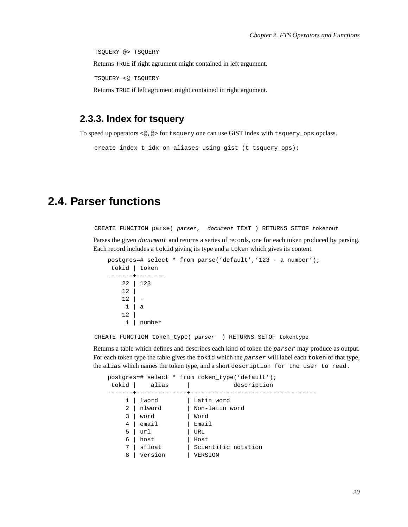TSQUERY @> TSQUERY Returns TRUE if right agrument might contained in left argument. TSQUERY <@ TSQUERY Returns TRUE if left agrument might contained in right argument.

#### <span id="page-23-0"></span>**2.3.3. Index for tsquery**

To speed up operators <@,@> for tsquery one can use GiST index with tsquery\_ops opclass.

```
create index t_idx on aliases using gist (t tsquery_ops);
```
### <span id="page-23-1"></span>**2.4. Parser functions**

CREATE FUNCTION parse( parser, document TEXT ) RETURNS SETOF tokenout

Parses the given *document* and returns a series of records, one for each token produced by parsing. Each record includes a tokid giving its type and a token which gives its content.

```
postgres=# select * from parse('default','123 - a number');
tokid | token
-------+--------
   22 | 123
   12 |
   12 | -
    1 | a
   12 |
    1 | number
```
CREATE FUNCTION token\_type( parser ) RETURNS SETOF tokentype

Returns a table which defines and describes each kind of token the parser may produce as output. For each token type the table gives the tokid which the parser will label each token of that type, the alias which names the token type, and a short description for the user to read.

|                |               | postgres=# select * from token_type('default'); |
|----------------|---------------|-------------------------------------------------|
| tokid          | alias         | description                                     |
|                | ------------- |                                                 |
| 1 <sup>1</sup> | lword         | Latin word                                      |
|                | 2   nlword    | Non-latin word                                  |
| 3              | word          | Word                                            |
|                | 4   email     | Email                                           |
| 5              | url           | URL                                             |
|                | $6$   host    | Host                                            |
| 7              | sfloat        | Scientific notation                             |
| 8              | version       | VERSION                                         |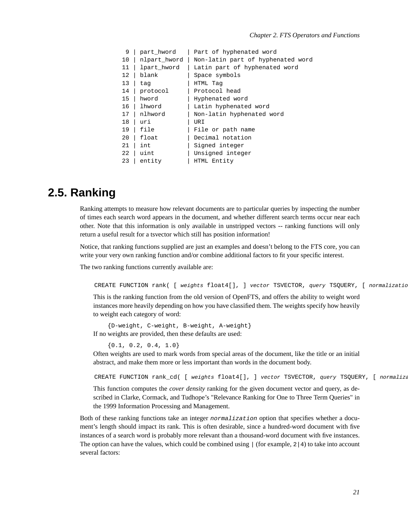| 9  | part_hword   | Part of hyphenated word           |
|----|--------------|-----------------------------------|
| 10 | nlpart_hword | Non-latin part of hyphenated word |
| 11 | lpart_hword  | Latin part of hyphenated word     |
| 12 | blank        | Space symbols                     |
| 13 | tag          | HTML Tag                          |
| 14 | protocol     | Protocol head                     |
| 15 | hword        | Hyphenated word                   |
| 16 | lhword       | Latin hyphenated word             |
| 17 | nlhword      | Non-latin hyphenated word         |
| 18 | uri          | URI                               |
| 19 | file         | File or path name                 |
| 20 | float        | Decimal notation                  |
| 21 | int          | Signed integer                    |
| 22 | uint         | Unsigned integer                  |
| 23 | entity       | HTML Entity                       |

### <span id="page-24-0"></span>**2.5. Ranking**

Ranking attempts to measure how relevant documents are to particular queries by inspecting the number of times each search word appears in the document, and whether different search terms occur near each other. Note that this information is only available in unstripped vectors -- ranking functions will only return a useful result for a tsvector which still has position information!

Notice, that ranking functions supplied are just an examples and doesn't belong to the FTS core, you can write your very own ranking function and/or combine additional factors to fit your specific interest.

The two ranking functions currently available are:

```
CREATE FUNCTION rank( [ weights float4[], ] vector TSVECTOR, query TSQUERY, [ normalizatio
```
This is the ranking function from the old version of OpenFTS, and offers the ability to weight word instances more heavily depending on how you have classified them. The weights specify how heavily to weight each category of word:

{D-weight, C-weight, B-weight, A-weight} If no weights are provided, then these defaults are used:

 $\{0.1, 0.2, 0.4, 1.0\}$ 

Often weights are used to mark words from special areas of the document, like the title or an initial abstract, and make them more or less important than words in the document body.

CREATE FUNCTION rank\_cd( [ weights float4[], ] vector TSVECTOR, query TSQUERY, [ normalization integration integration integration integration integration integration integration integration in the TSQUERY, [ normalization

This function computes the *cover density* ranking for the given document vector and query, as described in Clarke, Cormack, and Tudhope's "Relevance Ranking for One to Three Term Queries" in the 1999 Information Processing and Management.

Both of these ranking functions take an integer normalization option that specifies whether a document's length should impact its rank. This is often desirable, since a hundred-word document with five instances of a search word is probably more relevant than a thousand-word document with five instances. The option can have the values, which could be combined using  $\mid$  (for example,  $2 \mid 4$ ) to take into account several factors: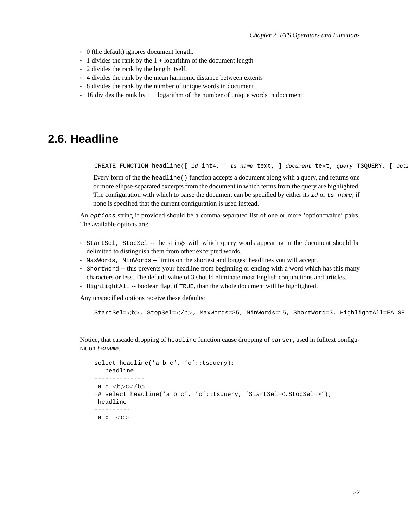- 0 (the default) ignores document length.
- $\cdot$  1 divides the rank by the 1 + logarithm of the document length
- 2 divides the rank by the length itself.
- 4 divides the rank by the mean harmonic distance between extents
- 8 divides the rank by the number of unique words in document
- $\cdot$  16 divides the rank by 1 + logarithm of the number of unique words in document

### <span id="page-25-0"></span>**2.6. Headline**

CREATE FUNCTION headline([ id int4,  $|$  ts\_name text, ] document text, query TSQUERY, [ opt.

Every form of the the headline () function accepts a document along with a query, and returns one or more ellipse-separated excerpts from the document in which terms from the query are highlighted. The configuration with which to parse the document can be specified by either its  $id$  or  $ts_$  name; if none is specified that the current configuration is used instead.

An options string if provided should be a comma-separated list of one or more 'option=value' pairs. The available options are:

- StartSel, StopSel -- the strings with which query words appearing in the document should be delimited to distinguish them from other excerpted words.
- MaxWords, MinWords -- limits on the shortest and longest headlines you will accept.
- ShortWord -- this prevents your headline from beginning or ending with a word which has this many characters or less. The default value of 3 should eliminate most English conjunctions and articles.
- HighlightAll -- boolean flag, if TRUE, than the whole document will be highlighted.

Any unspecified options receive these defaults:

StartSel=<b>, StopSel=</b>, MaxWords=35, MinWords=15, ShortWord=3, HighlightAll=FALSE

Notice, that cascade dropping of headline function cause dropping of parser, used in fulltext configuration tsname.

```
select headline('a b c', 'c'::tsquery);
   headline
--------------
a b <b>b>c</b><b></b><b>b</b>=# select headline('a b c', 'c'::tsquery, 'StartSel=<,StopSel=>');
headline
----------
 a b \langle c \rangle
```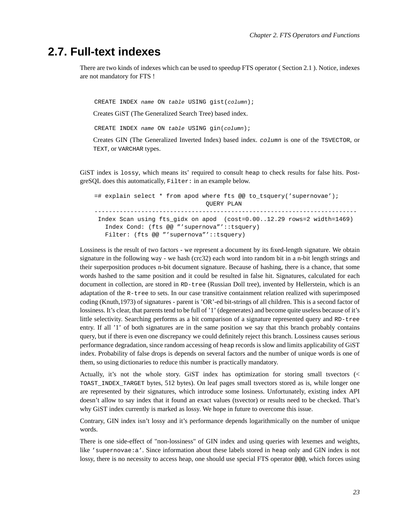### **2.7. Full-text indexes**

There are two kinds of indexes which can be used to speedup FTS operator ( [Section 2.1](#page-17-1) ). Notice, indexes are not mandatory for FTS !

CREATE INDEX name ON table USING gist(column);

Creates GiST (The Generalized Search Tree) based index.

CREATE INDEX name ON table USING gin(column);

Creates GIN (The Generalized Inverted Index) based index. column is one of the TSVECTOR, or TEXT, or VARCHAR types.

GiST index is lossy, which means its' required to consult heap to check results for false hits. PostgreSQL does this automatically, Filter: in an example below.

=# explain select \* from apod where fts @@ to\_tsquery('supernovae'); QUERY PLAN ------------------------------------------------------------------------- Index Scan using fts\_gidx on apod (cost=0.00..12.29 rows=2 width=1469) Index Cond: (fts @@ "'supernova"'::tsquery) Filter: (fts @@ "'supernova"'::tsquery)

Lossiness is the result of two factors - we represent a document by its fixed-length signature. We obtain signature in the following way - we hash (crc32) each word into random bit in a n-bit length strings and their superposition produces n-bit document signature. Because of hashing, there is a chance, that some words hashed to the same position and it could be resulted in false hit. Signatures, calculated for each document in collection, are stored in RD-tree (Russian Doll tree), invented by Hellerstein, which is an adaptation of the R-tree to sets. In our case transitive containment relation realized with superimposed coding (Knuth,1973) of signatures - parent is 'OR'-ed bit-strings of all children. This is a second factor of lossiness. It's clear, that parents tend to be full of '1' (degenerates) and become quite useless because of it's little selectivity. Searching performs as a bit comparison of a signature represented query and RD-tree entry. If all '1' of both signatures are in the same position we say that this branch probably contains query, but if there is even one discrepancy we could definitely reject this branch. Lossiness causes serious performance degradation, since random accessing of heap records is slow and limits applicability of GiST index. Probability of false drops is depends on several factors and the number of unique words is one of them, so using dictionaries to reduce this number is practically mandatory.

Actually, it's not the whole story. GiST index has optimization for storing small tsvectors (< TOAST\_INDEX\_TARGET bytes, 512 bytes). On leaf pages small tsvectors stored as is, while longer one are represented by their signatures, which introduce some losiness. Unfortunately, existing index API doesn't allow to say index that it found an exact values (tsvector) or results need to be checked. That's why GiST index currently is marked as lossy. We hope in future to overcome this issue.

Contrary, GIN index isn't lossy and it's performance depends logarithmically on the number of unique words.

There is one side-effect of "non-lossiness" of GIN index and using queries with lexemes and weights, like 'supernovae:a'. Since information about these labels stored in heap only and GIN index is not lossy, there is no necessity to access heap, one should use special FTS operator @@@, which forces using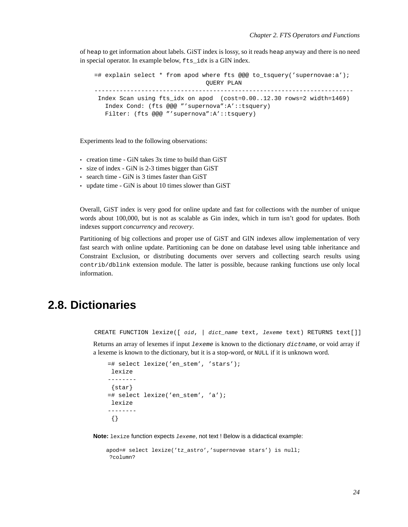of heap to get information about labels. GiST index is lossy, so it reads heap anyway and there is no need in special operator. In example below, fts\_idx is a GIN index.

```
=# explain select * from apod where fts @@@ to_tsquery('supernovae:a');
                              QUERY PLAN
------------------------------------------------------------------------
Index Scan using fts_idx on apod (cost=0.00..12.30 rows=2 width=1469)
  Index Cond: (fts @@@ "'supernova":A'::tsquery)
  Filter: (fts @@@ "'supernova":A'::tsquery)
```
Experiments lead to the following observations:

- creation time GiN takes 3x time to build than GiST
- size of index GiN is 2-3 times bigger than GiST
- search time GiN is 3 times faster than GiST
- update time GiN is about 10 times slower than GiST

Overall, GiST index is very good for online update and fast for collections with the number of unique words about 100,000, but is not as scalable as Gin index, which in turn isn't good for updates. Both indexes support *concurrency* and *recovery*.

Partitioning of big collections and proper use of GiST and GIN indexes allow implementation of very fast search with online update. Partitioning can be done on database level using table inheritance and Constraint Exclusion, or distributing documents over servers and collecting search results using contrib/dblink extension module. The latter is possible, because ranking functions use only local information.

### <span id="page-27-0"></span>**2.8. Dictionaries**

CREATE FUNCTION lexize([ oid, | dict\_name text, lexeme text) RETURNS text[]]

Returns an array of lexemes if input lexeme is known to the dictionary dictname, or void array if a lexeme is known to the dictionary, but it is a stop-word, or NULL if it is unknown word.

```
=# select lexize('en_stem', 'stars');
lexize
--------
 {star}
=# select lexize('en_stem', 'a');
lexize
--------
 {}
```
**Note:** lexize function expects lexeme, not text ! Below is a didactical example:

```
apod=# select lexize('tz_astro','supernovae stars') is null;
?column?
```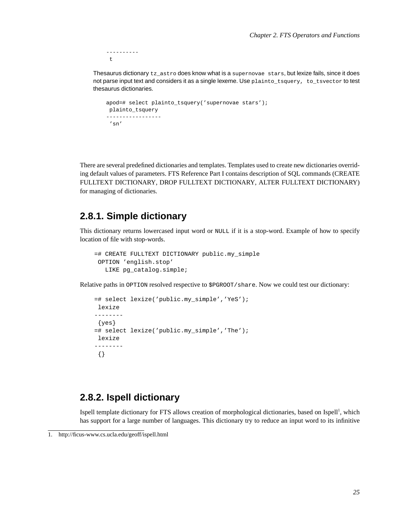--------- t

Thesaurus dictionary tz\_astro does know what is a supernovae stars, but lexize fails, since it does not parse input text and considers it as a single lexeme. Use plainto\_tsquery, to\_tsvector to test thesaurus dictionaries.

```
apod=# select plainto_tsquery('supernovae stars');
plainto_tsquery
-----------------
'sn'
```
There are several predefined dictionaries and templates. Templates used to create new dictionaries overriding default values of parameters. FTS Reference [Part I](#page-39-0) contains description of SQL commands [\(CREATE](#page-47-0) [FULLTEXT DICTIONARY](#page-47-0), [DROP FULLTEXT DICTIONARY](#page-49-0), [ALTER FULLTEXT DICTIONARY\)](#page-50-0) for managing of dictionaries.

### <span id="page-28-0"></span>**2.8.1. Simple dictionary**

This dictionary returns lowercased input word or NULL if it is a stop-word. Example of how to specify location of file with stop-words.

```
=# CREATE FULLTEXT DICTIONARY public.my_simple
OPTION 'english.stop'
  LIKE pg_catalog.simple;
```
Relative paths in OPTION resolved respective to \$PGROOT/share. Now we could test our dictionary:

```
=# select lexize('public.my_simple','YeS');
lexize
--------
 {yes}
=# select lexize('public.my_simple','The');
lexize
--------
 {}
```
### <span id="page-28-1"></span>**2.8.2. Ispell dictionary**

Ispell template dictionary for FTS allows creation of morphological dictionaries, based on Ispell<sup>1</sup>, which has support for a large number of languages. This dictionary try to reduce an input word to its infinitive

<sup>1.</sup> http://ficus-www.cs.ucla.edu/geoff/ispell.html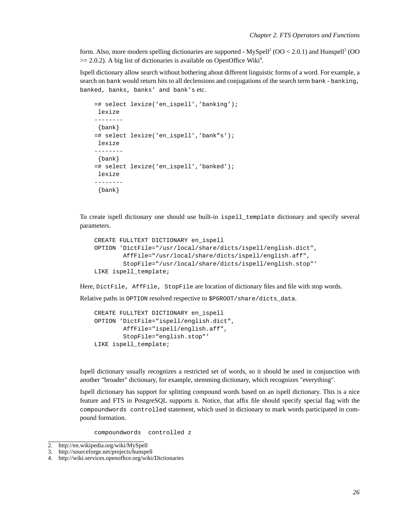form. Also, more modern spelling dictionaries are supported - MySpell<sup>2</sup> (OO < 2.0.1) and Hunspell<sup>3</sup> (OO  $\geq$  2.0.2). A big list of dictionaries is available on OpenOffice Wiki<sup>4</sup>.

Ispell dictionary allow search without bothering about different linguistic forms of a word. For example, a search on bank would return hits to all declensions and conjugations of the search term bank - banking, banked, banks, banks' and bank's etc.

```
=# select lexize('en_ispell','banking');
lexize
--------
 {bank}
=# select lexize('en_ispell','bank"s');
lexize
--------
 {bank}
=# select lexize('en_ispell','banked');
lexize
--------
 {bank}
```
To create ispell dictionary one should use built-in ispell\_template dictionary and specify several parameters.

```
CREATE FULLTEXT DICTIONARY en_ispell
OPTION 'DictFile="/usr/local/share/dicts/ispell/english.dict",
        AffFile="/usr/local/share/dicts/ispell/english.aff",
        StopFile="/usr/local/share/dicts/ispell/english.stop"'
LIKE ispell_template;
```
Here, DictFile, AffFile, StopFile are location of dictionary files and file with stop words.

Relative paths in OPTION resolved respective to \$PGROOT/share/dicts\_data.

```
CREATE FULLTEXT DICTIONARY en_ispell
OPTION 'DictFile="ispell/english.dict",
       AffFile="ispell/english.aff",
       StopFile="english.stop"'
LIKE ispell_template;
```
Ispell dictionary usually recognizes a restricted set of words, so it should be used in conjunction with another "broader" dictionary, for example, stemming dictionary, which recognizes "everything".

Ispell dictionary has support for splitting compound words based on an ispell dictionary. This is a nice feature and FTS in PostgreSQL supports it. Notice, that affix file should specify special flag with the compoundwords controlled statement, which used in dictionary to mark words participated in compound formation.

compoundwords controlled z

<sup>2.</sup> http://en.wikipedia.org/wiki/MySpell

<sup>3.</sup> http://sourceforge.net/projects/hunspell

<sup>4.</sup> http://wiki.services.openoffice.org/wiki/Dictionaries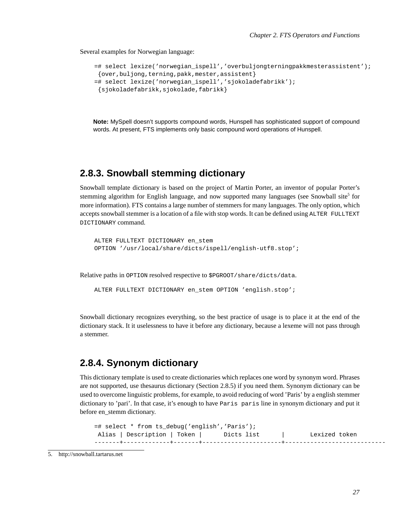Several examples for Norwegian language:

```
=# select lexize('norwegian_ispell','overbuljongterningpakkmesterassistent');
{over,buljong,terning,pakk,mester,assistent}
=# select lexize('norwegian_ispell','sjokoladefabrikk');
{sjokoladefabrikk,sjokolade,fabrikk}
```
**Note:** MySpell doesn't supports compound words, Hunspell has sophisticated support of compound words. At present, FTS implements only basic compound word operations of Hunspell.

### <span id="page-30-0"></span>**2.8.3. Snowball stemming dictionary**

Snowball template dictionary is based on the project of Martin Porter, an inventor of popular Porter's stemming algorithm for English language, and now supported many languages (see Snowball site<sup>5</sup> for more information). FTS contains a large number of stemmers for many languages. The only option, which accepts snowball stemmer is a location of a file with stop words. It can be defined using ALTER FULLTEXT DICTIONARY command.

```
ALTER FULLTEXT DICTIONARY en_stem
OPTION '/usr/local/share/dicts/ispell/english-utf8.stop';
```
Relative paths in OPTION resolved respective to \$PGROOT/share/dicts/data.

```
ALTER FULLTEXT DICTIONARY en stem OPTION 'english.stop';
```
Snowball dictionary recognizes everything, so the best practice of usage is to place it at the end of the dictionary stack. It it uselessness to have it before any dictionary, because a lexeme will not pass through a stemmer.

### <span id="page-30-1"></span>**2.8.4. Synonym dictionary**

This dictionary template is used to create dictionaries which replaces one word by synonym word. Phrases are not supported, use thesaurus dictionary ([Section 2.8.5](#page-31-0)) if you need them. Synonym dictionary can be used to overcome linguistic problems, for example, to avoid reducing of word 'Paris' by a english stemmer dictionary to 'pari'. In that case, it's enough to have Paris paris line in synonym dictionary and put it before en\_stemm dictionary.

```
=# select * from ts_debug('english','Paris');
Alias | Description | Token | Dicts list | Lexized token
-------+-------------+-------+----------------------+----------------------------
```

```
5. http://snowball.tartarus.net
```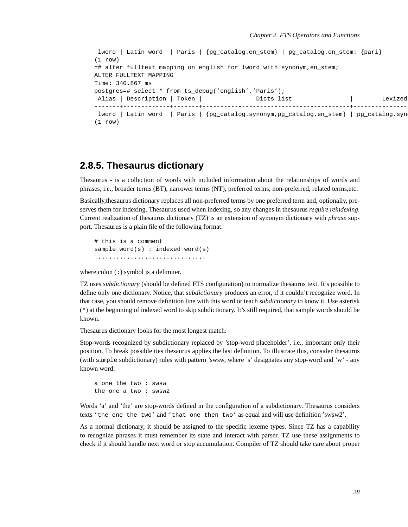```
lword | Latin word | Paris | {pg_catalog.en_stem} | pg_catalog.en_stem: {pari}
(1 row)
=# alter fulltext mapping on english for lword with synonym,en_stem;
ALTER FULLTEXT MAPPING
Time: 340.867 ms
postgres=# select * from ts_debug('english','Paris');
Alias | Description | Token | \qquad \qquad Dicts list | Lexized
-------+-------------+-------+-----------------------------------------+-----------------------------
lword | Latin word | Paris | {pg_catalog.synonym,pg_catalog.en_stem} | pg_catalog.syn
(1 row)
```
#### <span id="page-31-0"></span>**2.8.5. Thesaurus dictionary**

Thesaurus - is a collection of words with included information about the relationships of words and phrases, i.e., broader terms (BT), narrower terms (NT), preferred terms, non-preferred, related terms,etc.

Basically,thesaurus dictionary replaces all non-preferred terms by one preferred term and, optionally, preserves them for indexing. Thesaurus used when indexing, so any changes in thesaurus *require reindexing*. Current realization of thesaurus dictionary (TZ) is an extension of synonym dictionary with *phrase* support. Thesaurus is a plain file of the following format:

# this is a comment sample word(s) : indexed word(s) ...............................

where  $\text{colon}$   $\Rightarrow$  symbol is a delimiter.

TZ uses *subdictionary* (should be defined FTS configuration) to normalize thesaurus text. It's possible to define only one dictionary. Notice, that *subdictionary* produces an error, if it couldn't recognize word. In that case, you should remove definition line with this word or teach *subdictionary* to know it. Use asterisk (\*) at the beginning of indexed word to skip subdictionary. It's still required, that sample words should be known.

Thesaurus dictionary looks for the most longest match.

Stop-words recognized by subdictionary replaced by 'stop-word placeholder', i.e., important only their position. To break possible ties thesaurus applies the last definition. To illustrate this, consider thesaurus (with simple subdictionary) rules with pattern 'swsw, where 's' designates any stop-word and 'w' - any known word:

a one the two : swsw the one a two : swsw2

Words 'a' and 'the' are stop-words defined in the configuration of a subdictionary. Thesaurus considers texts 'the one the two' and 'that one then two' as equal and will use definition 'swsw2'.

As a normal dictionary, it should be assigned to the specific lexeme types. Since TZ has a capability to recognize phrases it must remember its state and interact with parser. TZ use these assignments to check if it should handle next word or stop accumulation. Compiler of TZ should take care about proper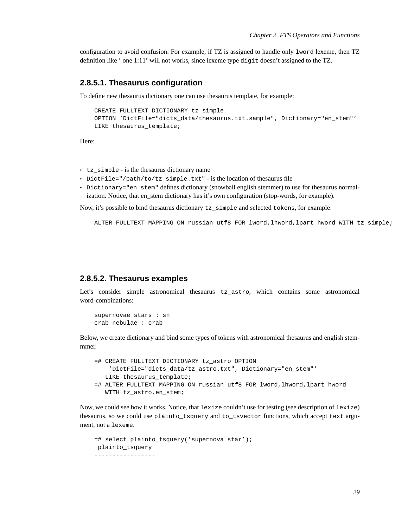configuration to avoid confusion. For example, if TZ is assigned to handle only lword lexeme, then TZ definition like ' one 1:11' will not works, since lexeme type digit doesn't assigned to the TZ.

#### <span id="page-32-0"></span>**2.8.5.1. Thesaurus configuration**

To define new thesaurus dictionary one can use thesaurus template, for example:

```
CREATE FULLTEXT DICTIONARY tz_simple
OPTION 'DictFile="dicts_data/thesaurus.txt.sample", Dictionary="en_stem"'
LIKE thesaurus template;
```
Here:

- tz\_simple is the thesaurus dictionary name
- DictFile="/path/to/tz\_simple.txt" is the location of thesaurus file
- Dictionary="en\_stem" defines dictionary (snowball english stemmer) to use for thesaurus normalization. Notice, that en\_stem dictionary has it's own configuration (stop-words, for example).

Now, it's possible to bind thesaurus dictionary tz\_simple and selected tokens, for example:

ALTER FULLTEXT MAPPING ON russian\_utf8 FOR lword,lhword,lpart\_hword WITH tz\_simple;

#### <span id="page-32-1"></span>**2.8.5.2. Thesaurus examples**

Let's consider simple astronomical thesaurus tz astro, which contains some astronomical word-combinations:

```
supernovae stars : sn
crab nebulae : crab
```
Below, we create dictionary and bind some types of tokens with astronomical thesaurus and english stemmmer.

```
=# CREATE FULLTEXT DICTIONARY tz_astro OPTION
    'DictFile="dicts_data/tz_astro.txt", Dictionary="en_stem"'
  LIKE thesaurus_template;
=# ALTER FULLTEXT MAPPING ON russian_utf8 FOR lword,lhword,lpart_hword
  WITH tz_astro,en_stem;
```
Now, we could see how it works. Notice, that lexize couldn't use for testing (see description of lexize) thesaurus, so we could use plainto\_tsquery and to\_tsvector functions, which accept text argument, not a lexeme.

```
=# select plainto_tsquery('supernova star');
plainto_tsquery
-----------------
```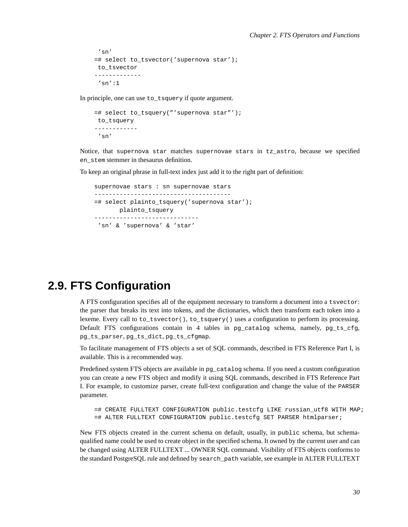```
'sn'
=# select to_tsvector('supernova star');
to_tsvector
-------------
 'sn':1
```
In principle, one can use to tsquery if quote argument.

```
=# select to tsquery("'supernova star"');
to_tsquery
------------
 'sn'
```
Notice, that supernova star matches supernovae stars in tz\_astro, because we specified en\_stem stemmer in thesaurus definition.

To keep an original phrase in full-text index just add it to the right part of definition:

```
supernovae stars : sn supernovae stars
--------------------------------------
=# select plainto_tsquery('supernova star');
      plainto_tsquery
-----------------------------
'sn' & 'supernova' & 'star'
```
### <span id="page-33-0"></span>**2.9. FTS Configuration**

A FTS configuration specifies all of the equipment necessary to transform a document into a tsvector: the parser that breaks its text into tokens, and the dictionaries, which then transform each token into a lexeme. Every call to to\_tsvector(), to\_tsquery() uses a configuration to perform its processing. Default FTS configurations contain in 4 tables in pg\_catalog schema, namely,  $pg_ts_cfg$ , pg\_ts\_parser, pg\_ts\_dict, pg\_ts\_cfgmap.

To facilitate management of FTS objects a set of SQL commands, described in FTS Reference [Part I,](#page-39-0) is available. This is a recommended way.

Predefined system FTS objects are available in pg\_catalog schema. If you need a custom configuration you can create a new FTS object and modify it using SQL commands, described in FTS Reference [Part](#page-39-0) [I.](#page-39-0) For example, to customize parser, create full-text configuration and change the value of the PARSER parameter.

=# CREATE FULLTEXT CONFIGURATION public.testcfg LIKE russian\_utf8 WITH MAP; =# ALTER FULLTEXT CONFIGURATION public.testcfg SET PARSER htmlparser;

New FTS objects created in the current schema on default, usually, in public schema, but schemaqualified name could be used to create object in the specified schema. It owned by the current user and can be changed using [ALTER FULLTEXT ... OWNER](#page-60-0) SQL command. Visibility of FTS objects conforms to the standard PostgreSQL rule and defined by search\_path variable, see example in [ALTER FULLTEXT](#page-60-0)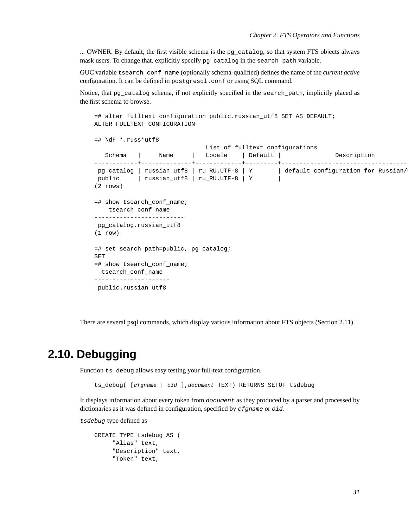[... OWNER](#page-60-0). By default, the first visible schema is the pg\_catalog, so that system FTS objects always mask users. To change that, explicitly specify pg\_catalog in the search\_path variable.

GUC variable tsearch\_conf\_name (optionally schema-qualified) defines the name of the *current active* configuration. It can be defined in postgresql.conf or using SQL command.

Notice, that pg\_catalog schema, if not explicitly specified in the search\_path, implicitly placed as the first schema to browse.

```
=# alter fulltext configuration public.russian_utf8 SET AS DEFAULT;
ALTER FULLTEXT CONFIGURATION
=# \dagger *.russ*utf8
                             List of fulltext configurations
  Schema | Name | Locale | Default | Description
------------+--------------+-------------+---------+-----------------------------------------
pg_catalog | russian_utf8 | ru_RU.UTF-8 | Y | default configuration for Russian/
public | russian_utf8 | ru_RU.UTF-8 | Y |
(2 rows)
=# show tsearch conf name;
   tsearch_conf_name
-------------------------
pg_catalog.russian_utf8
(1 row)
=# set search_path=public, pg_catalog;
SET
=# show tsearch_conf_name;
 tsearch_conf_name
---------------------
public.russian_utf8
```
There are several psql commands, which display various information about FTS objects [\(Section 2.11\)](#page-35-0).

### <span id="page-34-0"></span>**2.10. Debugging**

Function ts debug allows easy testing your full-text configuration.

ts\_debug( [cfgname | oid ],document TEXT) RETURNS SETOF tsdebug

It displays information about every token from document as they produced by a parser and processed by dictionaries as it was defined in configuration, specified by *cfgname* or *oid*.

tsdebug type defined as

```
CREATE TYPE tsdebug AS (
     "Alias" text,
     "Description" text,
     "Token" text,
```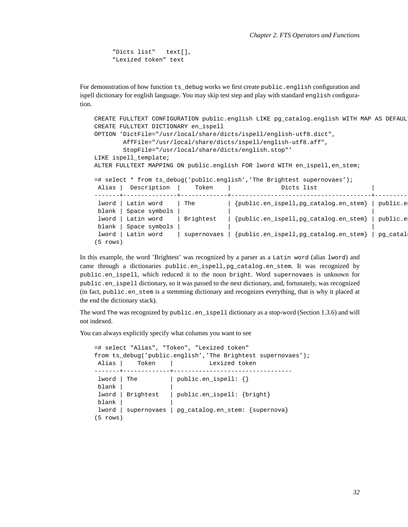```
"Dicts list" text[],
"Lexized token" text
```
For demonstration of how function  $ts$  debug works we first create public.english configuration and ispell dictionary for english language. You may skip test step and play with standard english configuration.

```
CREATE FULLTEXT CONFIGURATION public.english LIKE pg_catalog.english WITH MAP AS DEFAUL
CREATE FULLTEXT DICTIONARY en_ispell
OPTION 'DictFile="/usr/local/share/dicts/ispell/english-utf8.dict",
       AffFile="/usr/local/share/dicts/ispell/english-utf8.aff",
       StopFile="/usr/local/share/dicts/english.stop"'
LIKE ispell_template;
ALTER FULLTEXT MAPPING ON public.english FOR lword WITH en_ispell, en_stem;
=# select * from ts_debug('public.english','The Brightest supernovaes');
Alias | Description | Token | Dicts list |
-------+---------------+-------------+---------------------------------------+---------------------------------
                      | The | {public.en_ispell,pg_catalog.en_stem} | public.en
blank | Space symbols | | |
 lword | Latin word | Brightest | {public.en_ispell,pg_catalog.en_stem} | public.e
blank | Space symbols |
lword | Latin word | supernovaes | {public.en_ispell,pg_catalog.en_stem} | pg_catal
(5 rows)
```
In this example, the word 'Brightest' was recognized by a parser as a Latin word (alias lword) and came through a dictionaries public.en\_ispell,pg\_catalog.en\_stem. It was recognized by public.en\_ispell, which reduced it to the noun bright. Word supernovaes is unknown for public.en\_ispell dictionary, so it was passed to the next dictionary, and, fortunately, was recognized (in fact, public.en\_stem is a stemming dictionary and recognizes everything, that is why it placed at the end the dictionary stack).

The word The was recognized by public.en\_ispell dictionary as a stop-word [\(Section 1.3.6](#page-12-0)) and will not indexed.

You can always explicitly specify what columns you want to see

```
=# select "Alias", "Token", "Lexized token"
from ts_debug('public.english','The Brightest supernovaes');
Alias | Token | Lexized token
-------+-------------+---------------------------------
lword | The | public.en_ispell: {}
blank | |
lword | Brightest | public.en_ispell: {bright}
blank | |
lword | supernovaes | pg_catalog.en_stem: {supernova}
(5 rows)
```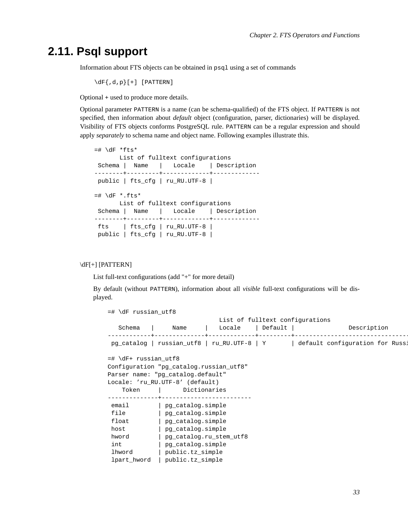# **2.11. Psql support**

Information about FTS objects can be obtained in psql using a set of commands

 $\{dF\},d,p\}$ [+] [PATTERN]

Optional + used to produce more details.

Optional parameter PATTERN is a name (can be schema-qualified) of the FTS object. If PATTERN is not specified, then information about *default* object (configuration, parser, dictionaries) will be displayed. Visibility of FTS objects conforms PostgreSQL rule. PATTERN can be a regular expression and should apply *separately* to schema name and object name. Following examples illustrate this.

```
=# \dagger *fts*
      List of fulltext configurations
Schema | Name | Locale | Description
--------+---------+-------------+-------------
public | fts_cfg | ru_RU.UTF-8 |
=# \dagger \dagger *.fts*
      List of fulltext configurations
Schema | Name | Locale | Description
--------+---------+-------------+-------------
fts | fts_cfg | ru_RU.UTF-8 |
public | fts_cfg | ru_RU.UTF-8 |
```
#### \dF[+] [PATTERN]

List full-text configurations (add "+" for more detail)

By default (without PATTERN), information about all *visible* full-text configurations will be displayed.

=# \dF russian\_utf8

| List of fulltext configurations         |                                             |                         |                           |  |                                 |  |  |  |  |
|-----------------------------------------|---------------------------------------------|-------------------------|---------------------------|--|---------------------------------|--|--|--|--|
| Schema                                  | Name                                        | Locale                  | Default  <br>-----+------ |  | Description                     |  |  |  |  |
|                                         | pq_catalog   russian_utf8   ru_RU.UTF-8   Y |                         |                           |  | default configuration for Russ: |  |  |  |  |
| $=$ # \dF+ russian utf8                 |                                             |                         |                           |  |                                 |  |  |  |  |
| Configuration "pq_catalog.russian_utf8" |                                             |                         |                           |  |                                 |  |  |  |  |
| Parser name: "pq_catalog.default"       |                                             |                         |                           |  |                                 |  |  |  |  |
|                                         | Locale: 'ru RU.UTF-8' (default)             |                         |                           |  |                                 |  |  |  |  |
| Token                                   | Dictionaries                                |                         |                           |  |                                 |  |  |  |  |
| email                                   | pq_catalog.simple                           |                         |                           |  |                                 |  |  |  |  |
| file                                    | pq_catalog.simple                           |                         |                           |  |                                 |  |  |  |  |
| float                                   | pq_catalog.simple                           |                         |                           |  |                                 |  |  |  |  |
| host                                    | pg_catalog.simple                           |                         |                           |  |                                 |  |  |  |  |
| hword                                   |                                             | pq_catalog.ru_stem_utf8 |                           |  |                                 |  |  |  |  |
| int                                     | pq_catalog.simple                           |                         |                           |  |                                 |  |  |  |  |
| lhword                                  | public.tz_simple                            |                         |                           |  |                                 |  |  |  |  |
| lpart_hword                             | public.tz_simple                            |                         |                           |  |                                 |  |  |  |  |
|                                         |                                             |                         |                           |  |                                 |  |  |  |  |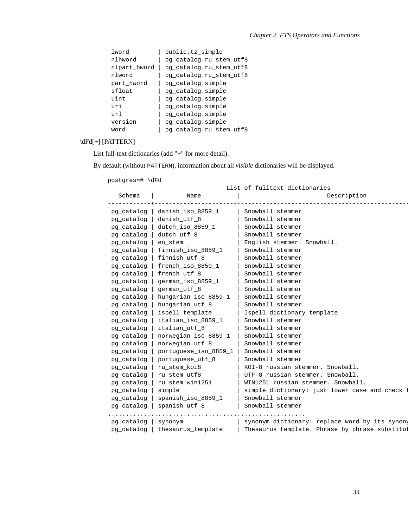| lword        | public.tz_simple        |
|--------------|-------------------------|
| nlhword      | pq_catalog.ru_stem_utf8 |
| nlpart_hword | pq_catalog.ru_stem_utf8 |
| nlword       | pg_catalog.ru_stem_utf8 |
| part hword   | pq_catalog.simple       |
| sfloat       | pq_catalog.simple       |
| uint         | pq_catalog.simple       |
| uri          | pq_catalog.simple       |
| url          | pq_catalog.simple       |
| version      | pg_catalog.simple       |
| word         | pg_catalog.ru_stem_utf8 |

#### \dFd[+] [PATTERN]

List full-text dictionaries (add "+" for more detail).

By default (without PATTERN), information about all *visible* dictionaries will be displayed.

| List of fulltext dictionaries |            |                       |                                                |  |  |  |  |
|-------------------------------|------------|-----------------------|------------------------------------------------|--|--|--|--|
| Schema<br>Name                |            |                       | Description                                    |  |  |  |  |
|                               |            |                       |                                                |  |  |  |  |
|                               | pq_catalog | danish iso 8859 1     | Snowball stemmer                               |  |  |  |  |
|                               | pq_catalog | danish utf 8          | Snowball stemmer                               |  |  |  |  |
|                               | pg_catalog | dutch_iso_8859_1      | Snowball stemmer                               |  |  |  |  |
|                               | pg_catalog | dutch_utf_8           | Snowball stemmer                               |  |  |  |  |
|                               | pg_catalog | en_stem               | English stemmer. Snowball.                     |  |  |  |  |
|                               | pg_catalog | finnish iso 8859 1    | Snowball stemmer                               |  |  |  |  |
|                               | pg_catalog | finnish_utf_8         | Snowball stemmer                               |  |  |  |  |
|                               | pq_catalog | french iso 8859 1     | Snowball stemmer                               |  |  |  |  |
|                               | pq_catalog | french utf 8          | Snowball stemmer                               |  |  |  |  |
|                               | pg_catalog | german iso 8859 1     | Snowball stemmer                               |  |  |  |  |
|                               | pq_catalog | german_utf_8          | Snowball stemmer                               |  |  |  |  |
|                               | pg_catalog | hungarian_iso_8859_1  | Snowball stemmer                               |  |  |  |  |
|                               | pg_catalog | hungarian_utf_8       | Snowball stemmer                               |  |  |  |  |
|                               | pg_catalog | ispell_template       | Ispell dictionary template                     |  |  |  |  |
|                               | pg_catalog | italian iso 8859 1    | Snowball stemmer                               |  |  |  |  |
|                               | pg_catalog | italian utf 8         | Snowball stemmer                               |  |  |  |  |
|                               | pg_catalog | norwegian iso 8859 1  | Snowball stemmer                               |  |  |  |  |
|                               | pq_catalog | norwegian_utf_8       | Snowball stemmer                               |  |  |  |  |
|                               | pq_catalog | portuguese_iso_8859_1 | Snowball stemmer                               |  |  |  |  |
|                               | pq_cataloq | portuguese_utf_8      | Snowball stemmer                               |  |  |  |  |
|                               | pg_catalog | ru_stem_koi8          | KOI-8 russian stemmer. Snowball.               |  |  |  |  |
|                               | pg_catalog | ru stem utf8          | UTF-8 russian stemmer. Snowball.               |  |  |  |  |
|                               | pg_catalog | ru_stem_win1251       | WIN1251 russian stemmer. Snowball.             |  |  |  |  |
|                               | pg_catalog | simple                | simple dictionary: just lower case and check   |  |  |  |  |
|                               | pg_catalog | spanish iso 8859 1    | Snowball stemmer                               |  |  |  |  |
|                               | pg_catalog | spanish utf 8         | Snowball stemmer                               |  |  |  |  |
|                               |            |                       |                                                |  |  |  |  |
|                               | pg_catalog | synonym               | synonym dictionary: replace word by its synony |  |  |  |  |
|                               | pq_catalog | thesaurus_template    | Thesaurus template. Phrase by phrase substitut |  |  |  |  |
|                               |            |                       |                                                |  |  |  |  |

postgres=# \dFd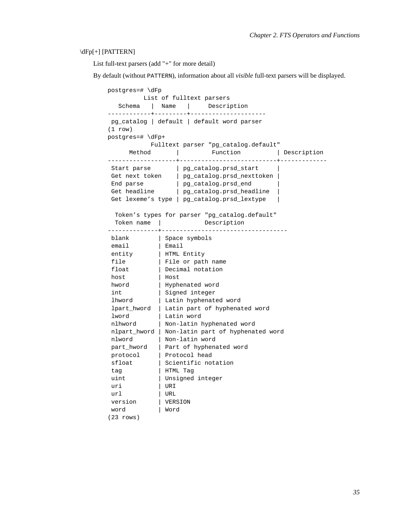#### \dFp[+] [PATTERN]

List full-text parsers (add "+" for more detail)

By default (without PATTERN), information about all *visible* full-text parsers will be displayed.

```
postgres=# \dFp
        List of fulltext parsers
  Schema | Name | Description
------------+---------+---------------------
pg_catalog | default | default word parser
(1 row)
postgres=# \dFp+
         Fulltext parser "pg_catalog.default"
     Method | Function | Description
-------------------+---------------------------+-------------
               | pg_catalog.prsd_start |
Get next token | pg_catalog.prsd_nexttoken |
 End parse | pg_catalog.prsd_end |Get headline | pg_catalog.prsd_headline |
Get lexeme's type | pg_catalog.prsd_lextype |
 Token's types for parser "pg_catalog.default"
 Token name | Description
--------------+-----------------------------------
 blank | Space symbols
 email | Email
 entity | HTML Entity
file | File or path name
float | Decimal notation
host | Host
hword | Hyphenated word
 int \qquad \qquad | Signed integer
 lhword | Latin hyphenated word
lpart_hword | Latin part of hyphenated word
lword | Latin word
nlhword | Non-latin hyphenated word
nlpart_hword | Non-latin part of hyphenated word
nlword | Non-latin word
part_hword | Part of hyphenated word
protocol | Protocol head
sfloat | Scientific notation
tag | HTML Tag
uint | Unsigned integer
uri | URI
url | URL
 version | VERSION
 word | Word
(23 rows)
```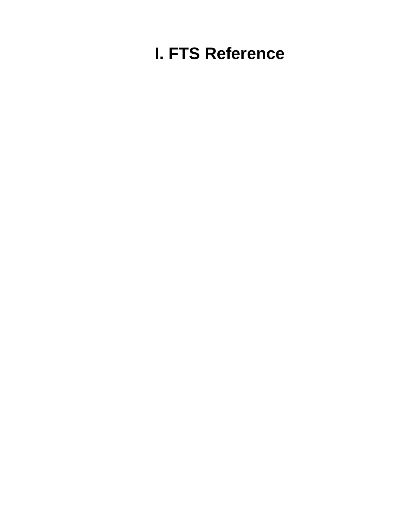# **I. FTS Reference**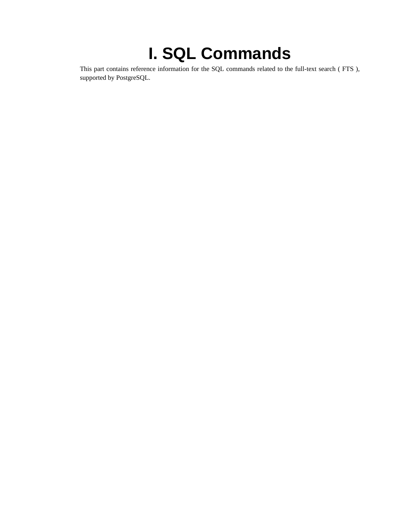# **I. SQL Commands**

This part contains reference information for the SQL commands related to the full-text search ( FTS ), supported by PostgreSQL.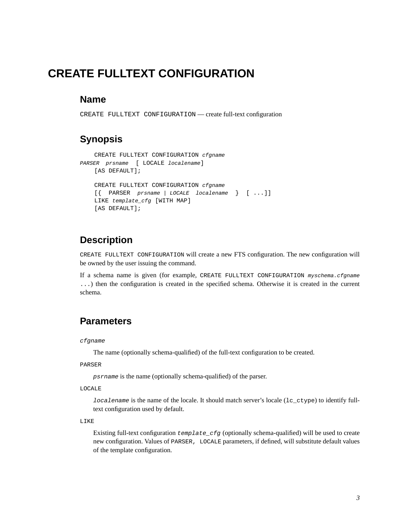# **CREATE FULLTEXT CONFIGURATION**

#### **Name**

CREATE FULLTEXT CONFIGURATION — create full-text configuration

#### **Synopsis**

```
CREATE FULLTEXT CONFIGURATION cfgname
PARSER prsname [ LOCALE localename]
   [AS DEFAULT];
   CREATE FULLTEXT CONFIGURATION cfgname
   [{ PARSER prsname | LOCALE localename } [ ...]]
   LIKE template_cfg [WITH MAP]
    [AS DEFAULT];
```
#### **Description**

CREATE FULLTEXT CONFIGURATION will create a new FTS configuration. The new configuration will be owned by the user issuing the command.

If a schema name is given (for example, CREATE FULLTEXT CONFIGURATION myschema.cfgname ...) then the configuration is created in the specified schema. Otherwise it is created in the current schema.

#### **Parameters**

#### cfgname

The name (optionally schema-qualified) of the full-text configuration to be created.

#### PARSER

psrname is the name (optionally schema-qualified) of the parser.

#### LOCALE

localename is the name of the locale. It should match server's locale  $(1c_cctype)$  to identify fulltext configuration used by default.

#### LIKE

Existing full-text configuration  $\text{template\_cfg}$  (optionally schema-qualified) will be used to create new configuration. Values of PARSER, LOCALE parameters, if defined, will substitute default values of the template configuration.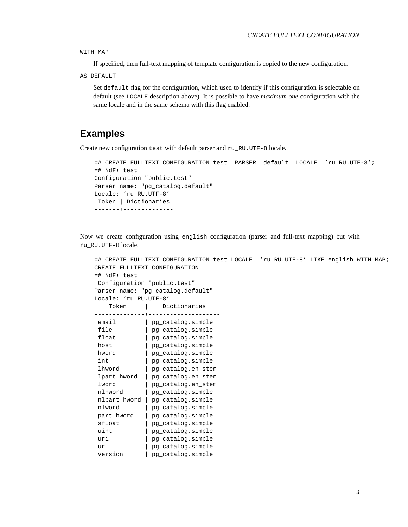WITH MAP

If specified, then full-text mapping of template configuration is copied to the new configuration.

AS DEFAULT

Set default flag for the configuration, which used to identify if this configuration is selectable on default (see LOCALE description above). It is possible to have *maximum one* configuration with the same locale and in the same schema with this flag enabled.

#### **Examples**

Create new configuration test with default parser and ru RU.UTF-8 locale.

```
=# CREATE FULLTEXT CONFIGURATION test PARSER default LOCALE 'ru_RU.UTF-8';
=# \dagger test
Configuration "public.test"
Parser name: "pg_catalog.default"
Locale: 'ru_RU.UTF-8'
Token | Dictionaries
-------+--------------
```
Now we create configuration using english configuration (parser and full-text mapping) but with ru\_RU.UTF-8 locale.

```
=# CREATE FULLTEXT CONFIGURATION test LOCALE 'ru_RU.UTF-8' LIKE english WITH MAP;
CREATE FULLTEXT CONFIGURATION
=# \dagger test
Configuration "public.test"
Parser name: "pg_catalog.default"
Locale: 'ru_RU.UTF-8'
   Token | Dictionaries
--------------+--------------------
email | pg_catalog.simple
file | pg_catalog.simple<br>float | pg_catalog.simple
           | pg_catalog.simple
host | pg_catalog.simple
hword | pq_catalog.simple
int | pg_catalog.simple
1.1. The pg_catalog.en_stem
lpart_hword | pg_catalog.en_stem
lword | pg_catalog.en_stem
nlhword | pg_catalog.simple
nlpart_hword | pg_catalog.simple
nlword | pg_catalog.simple
part_hword | pg_catalog.simple
sfloat | pg_catalog.simple
uint | pg_catalog.simple
uri | pg_catalog.simple
url | pg_catalog.simple
version | pg_catalog.simple
```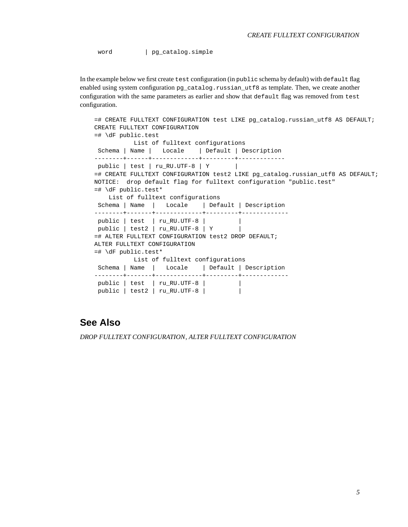word | pg\_catalog.simple

In the example below we first create test configuration (in public schema by default) with default flag enabled using system configuration  $pq$  catalog.russian utf8 as template. Then, we create another configuration with the same parameters as earlier and show that default flag was removed from test configuration.

```
=# CREATE FULLTEXT CONFIGURATION test LIKE pg_catalog.russian_utf8 AS DEFAULT;
CREATE FULLTEXT CONFIGURATION
=# \dF public.test
          List of fulltext configurations
Schema | Name | Locale | Default | Description
--------+------+-------------+---------+-------------
public | test | ru_RU.UTF-8 | Y |
=# CREATE FULLTEXT CONFIGURATION test2 LIKE pg_catalog.russian_utf8 AS DEFAULT;
NOTICE: drop default flag for fulltext configuration "public.test"
=# \dF public.test*
   List of fulltext configurations
Schema | Name | Locale | Default | Description
--------+-------+-------------+---------+-------------
public | test | ru_RU.UTF-8 | |
public | test2 | ru_RU.UTF-8 | Y |
=# ALTER FULLTEXT CONFIGURATION test2 DROP DEFAULT;
ALTER FULLTEXT CONFIGURATION
=# \dF public.test*
          List of fulltext configurations
Schema | Name | Locale | Default | Description
--------+-------+-------------+---------+-------------
public | test | ru_RU.UTF-8 | |
public | test2 | ru_RU.UTF-8 | |
```
#### **See Also**

*[DROP FULLTEXT CONFIGURATION](#page-0-0)*, *[ALTER FULLTEXT CONFIGURATION](#page-0-0)*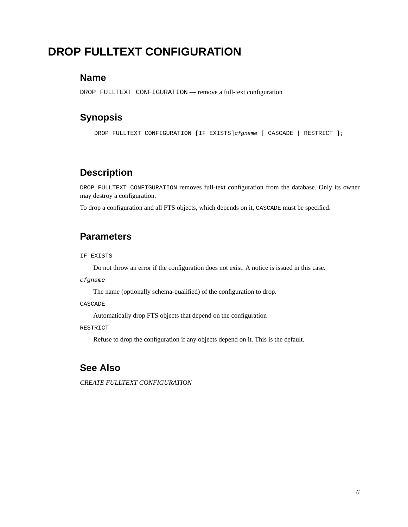# **DROP FULLTEXT CONFIGURATION**

#### **Name**

DROP FULLTEXT CONFIGURATION — remove a full-text configuration

#### **Synopsis**

DROP FULLTEXT CONFIGURATION [IF EXISTS]cfgname [ CASCADE | RESTRICT ];

#### **Description**

DROP FULLTEXT CONFIGURATION removes full-text configuration from the database. Only its owner may destroy a configuration.

To drop a configuration and all FTS objects, which depends on it, CASCADE must be specified.

#### **Parameters**

IF EXISTS

Do not throw an error if the configuration does not exist. A notice is issued in this case.

cfgname

The name (optionally schema-qualified) of the configuration to drop.

CASCADE

Automatically drop FTS objects that depend on the configuration

#### RESTRICT

Refuse to drop the configuration if any objects depend on it. This is the default.

#### **See Also**

*[CREATE FULLTEXT CONFIGURATION](#page-0-0)*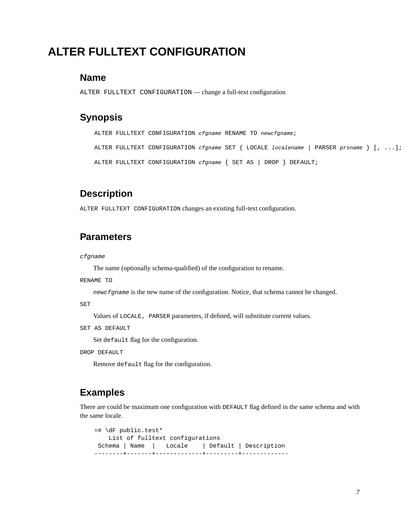# **ALTER FULLTEXT CONFIGURATION**

#### **Name**

ALTER FULLTEXT CONFIGURATION — change a full-text configuration

#### **Synopsis**

ALTER FULLTEXT CONFIGURATION cfgname RENAME TO newcfgname;

ALTER FULLTEXT CONFIGURATION *cfgname* SET { LOCALE *localename* | PARSER prsname } [, ...]; ALTER FULLTEXT CONFIGURATION cfgname { SET AS | DROP } DEFAULT;

#### **Description**

ALTER FULLTEXT CONFIGURATION changes an existing full-text configuration.

#### **Parameters**

cfgname

The name (optionally schema-qualified) of the configuration to rename.

RENAME TO

newcfgname is the new name of the configuration. Notice, that schema cannot be changed.

SET

Values of LOCALE, PARSER parameters, if defined, will substitute current values.

SET AS DEFAULT

Set default flag for the configuration.

DROP DEFAULT

Remove default flag for the configuration.

#### **Examples**

There are could be maximum one configuration with DEFAULT flag defined in the same schema and with the same locale.

=# \dF public.test\* List of fulltext configurations Schema | Name | Locale | Default | Description --------+-------+-------------+---------+-------------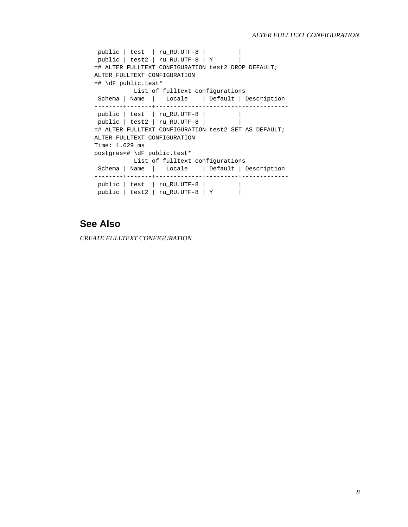```
public | test | ru_RU.UTF-8 | |
 public | test2 | ru_RU.UTF-8 | Y |
=# ALTER FULLTEXT CONFIGURATION test2 DROP DEFAULT;
ALTER FULLTEXT CONFIGURATION
=# \dF public.test*
        List of fulltext configurations
Schema | Name | Locale | Default | Description
--------+-------+-------------+---------+-------------
public | test | ru RU.UTF-8 | | |
public | test2 | ru_RU.UTF-8 | |
=# ALTER FULLTEXT CONFIGURATION test2 SET AS DEFAULT;
ALTER FULLTEXT CONFIGURATION
Time: 1.629 ms
postgres=# \dF public.test*
         List of fulltext configurations
Schema | Name | Locale | Default | Description
--------+-------+-------------+---------+-------------
 public | test | ru_RU.UTF-8 | |
 public | test2 | ru_RU.UTF-8 | Y |
```
### **See Also**

*[CREATE FULLTEXT CONFIGURATION](#page-0-0)*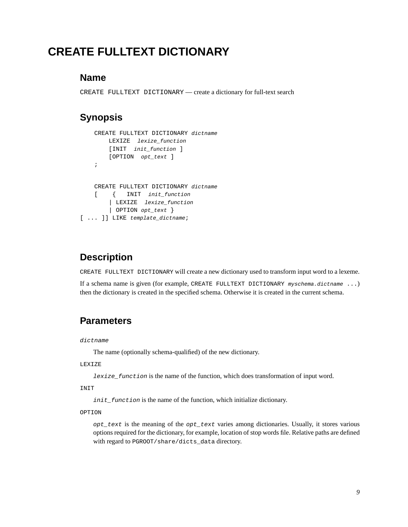# **CREATE FULLTEXT DICTIONARY**

#### **Name**

CREATE FULLTEXT DICTIONARY — create a dictionary for full-text search

### **Synopsis**

```
CREATE FULLTEXT DICTIONARY dictname
       LEXIZE lexize_function
       [INIT init_function ]
       [OPTION opt_text ]
    ;
   CREATE FULLTEXT DICTIONARY dictname
   [ { INIT init_function
        | LEXIZE lexize_function
       | OPTION opt_text }
[ ... ]] LIKE template dictname;
```
### **Description**

CREATE FULLTEXT DICTIONARY will create a new dictionary used to transform input word to a lexeme.

If a schema name is given (for example, CREATE FULLTEXT DICTIONARY myschema.dictname ...) then the dictionary is created in the specified schema. Otherwise it is created in the current schema.

### **Parameters**

dictname

The name (optionally schema-qualified) of the new dictionary.

#### LEXIZE

lexize\_function is the name of the function, which does transformation of input word.

INIT

init\_function is the name of the function, which initialize dictionary.

#### OPTION

 $opt\_text$  is the meaning of the  $opt\_text$  varies among dictionaries. Usually, it stores various options required for the dictionary, for example, location of stop words file. Relative paths are defined with regard to PGROOT/share/dicts\_data directory.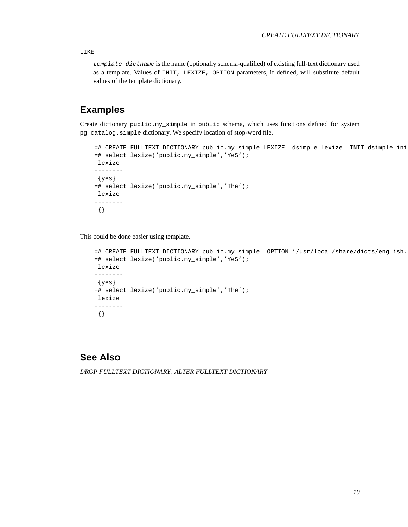LIKE

template\_dictname is the name (optionally schema-qualified) of existing full-text dictionary used as a template. Values of INIT, LEXIZE, OPTION parameters, if defined, will substitute default values of the template dictionary.

#### **Examples**

Create dictionary public.my\_simple in public schema, which uses functions defined for system pg\_catalog.simple dictionary. We specify location of stop-word file.

```
=# CREATE FULLTEXT DICTIONARY public.my_simple LEXIZE dsimple_lexize INIT dsimple_ini
=# select lexize('public.my_simple','YeS');
lexize
--------
{yes}
=# select lexize('public.my_simple','The');
lexize
--------
{}
```
This could be done easier using template.

```
=# CREATE FULLTEXT DICTIONARY public.my_simple OPTION '/usr/local/share/dicts/english.
=# select lexize('public.my_simple','YeS');
lexize
--------
{yes}
=# select lexize('public.my_simple','The');
lexize
--------
{}
```
#### **See Also**

*[DROP FULLTEXT DICTIONARY](#page-0-0)*, *[ALTER FULLTEXT DICTIONARY](#page-0-0)*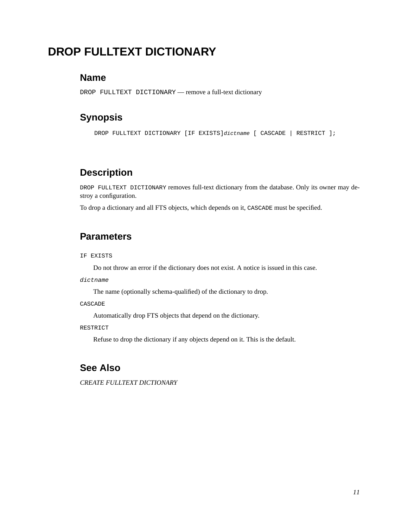# **DROP FULLTEXT DICTIONARY**

#### **Name**

DROP FULLTEXT DICTIONARY — remove a full-text dictionary

#### **Synopsis**

DROP FULLTEXT DICTIONARY [IF EXISTS]dictname [ CASCADE | RESTRICT ];

### **Description**

DROP FULLTEXT DICTIONARY removes full-text dictionary from the database. Only its owner may destroy a configuration.

To drop a dictionary and all FTS objects, which depends on it, CASCADE must be specified.

#### **Parameters**

IF EXISTS

Do not throw an error if the dictionary does not exist. A notice is issued in this case.

dictname

The name (optionally schema-qualified) of the dictionary to drop.

CASCADE

Automatically drop FTS objects that depend on the dictionary.

#### RESTRICT

Refuse to drop the dictionary if any objects depend on it. This is the default.

#### **See Also**

*[CREATE FULLTEXT DICTIONARY](#page-0-0)*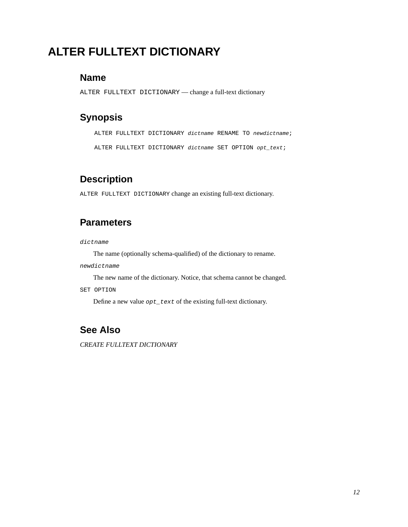# **ALTER FULLTEXT DICTIONARY**

#### **Name**

ALTER FULLTEXT DICTIONARY — change a full-text dictionary

#### **Synopsis**

ALTER FULLTEXT DICTIONARY dictname RENAME TO newdictname;

ALTER FULLTEXT DICTIONARY dictname SET OPTION opt text;

### **Description**

ALTER FULLTEXT DICTIONARY change an existing full-text dictionary.

### **Parameters**

dictname

The name (optionally schema-qualified) of the dictionary to rename.

newdictname

The new name of the dictionary. Notice, that schema cannot be changed.

SET OPTION

Define a new value opt\_text of the existing full-text dictionary.

### **See Also**

*[CREATE FULLTEXT DICTIONARY](#page-0-0)*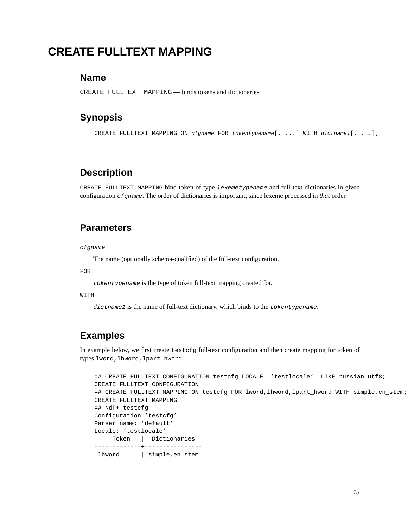# **CREATE FULLTEXT MAPPING**

#### **Name**

CREATE FULLTEXT MAPPING — binds tokens and dictionaries

### **Synopsis**

CREATE FULLTEXT MAPPING ON cfgname FOR tokentypename[, ...] WITH dictname1[, ...];

### **Description**

CREATE FULLTEXT MAPPING bind token of type lexemetypename and full-text dictionaries in given configuration cfgname. The order of dictionaries is important, since lexeme processed in *that* order.

### **Parameters**

cfgname

The name (optionally schema-qualified) of the full-text configuration.

FOR

tokentypename is the type of token full-text mapping created for.

WITH

dictname1 is the name of full-text dictionary, which binds to the tokentypename.

# **Examples**

In example below, we first create testcfg full-text configuration and then create mapping for token of types lword, lhword, lpart\_hword.

```
=# CREATE FULLTEXT CONFIGURATION testcfg LOCALE 'testlocale' LIKE russian_utf8;
CREATE FULLTEXT CONFIGURATION
=# CREATE FULLTEXT MAPPING ON testcfg FOR lword,lhword,lpart_hword WITH simple,en_stem;
CREATE FULLTEXT MAPPING
=# \dF+ testcfg
Configuration 'testcfg'
Parser name: 'default'
Locale: 'testlocale'
    Token | Dictionaries
-------------+----------------
 lhword | simple,en_stem
```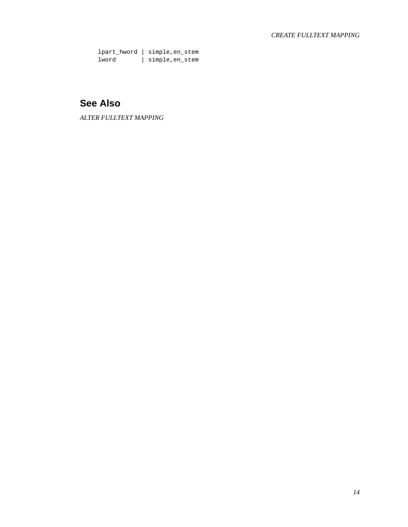lpart\_hword | simple,en\_stem lword | simple,en\_stem

# **See Also**

*[ALTER FULLTEXT MAPPING](#page-0-0)*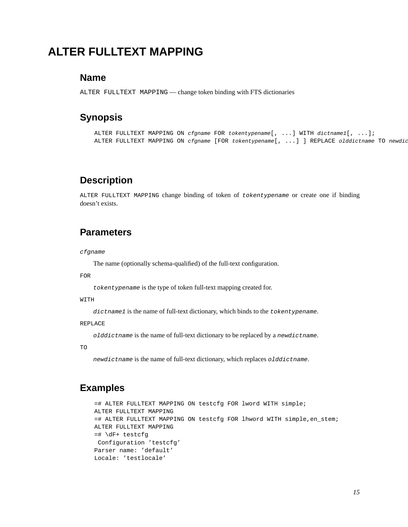# **ALTER FULLTEXT MAPPING**

#### **Name**

ALTER FULLTEXT MAPPING — change token binding with FTS dictionaries

#### **Synopsis**

ALTER FULLTEXT MAPPING ON cfgname FOR tokentypename[, ...] WITH dictname1[, ...]; ALTER FULLTEXT MAPPING ON cfgname [FOR tokentypename [, ...] ] REPLACE olddictname TO newdic

### **Description**

ALTER FULLTEXT MAPPING change binding of token of tokentypename or create one if binding doesn't exists.

#### **Parameters**

#### cfgname

The name (optionally schema-qualified) of the full-text configuration.

FOR

tokentypename is the type of token full-text mapping created for.

WITH

dictname1 is the name of full-text dictionary, which binds to the tokentypename.

#### REPLACE

olddictname is the name of full-text dictionary to be replaced by a newdictname.

TO

newdictname is the name of full-text dictionary, which replaces olddictname.

#### **Examples**

```
=# ALTER FULLTEXT MAPPING ON testcfg FOR lword WITH simple;
ALTER FULLTEXT MAPPING
=# ALTER FULLTEXT MAPPING ON testcfg FOR lhword WITH simple,en_stem;
ALTER FULLTEXT MAPPING
=# \dF+ testcfg
Configuration 'testcfg'
Parser name: 'default'
Locale: 'testlocale'
```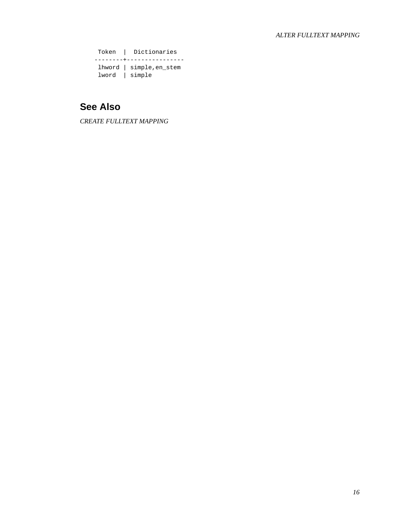Token | Dictionaries --------+--------------- lhword | simple,en\_stem lword | simple

# **See Also**

*[CREATE FULLTEXT MAPPING](#page-0-0)*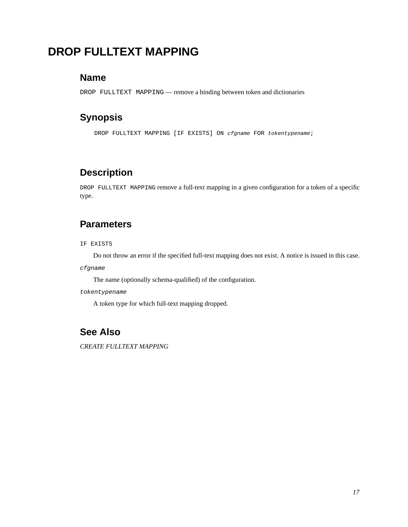# **DROP FULLTEXT MAPPING**

#### **Name**

DROP FULLTEXT MAPPING — remove a binding between token and dictionaries

#### **Synopsis**

DROP FULLTEXT MAPPING [IF EXISTS] ON cfgname FOR tokentypename;

### **Description**

DROP FULLTEXT MAPPING remove a full-text mapping in a given configuration for a token of a specific type.

#### **Parameters**

IF EXISTS

Do not throw an error if the specified full-text mapping does not exist. A notice is issued in this case.

cfgname

The name (optionally schema-qualified) of the configuration.

tokentypename

A token type for which full-text mapping dropped.

# **See Also**

*[CREATE FULLTEXT MAPPING](#page-0-0)*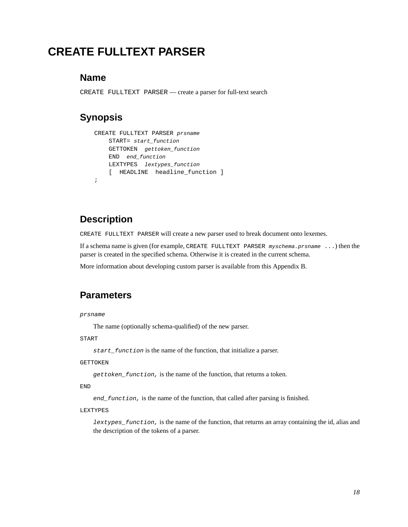# <span id="page-56-0"></span>**CREATE FULLTEXT PARSER**

#### **Name**

CREATE FULLTEXT PARSER — create a parser for full-text search

### **Synopsis**

```
CREATE FULLTEXT PARSER prsname
    START= start_function
    GETTOKEN gettoken_function
   END end_function
   LEXTYPES lextypes_function
    [ HEADLINE headline function ]
;
```
### **Description**

CREATE FULLTEXT PARSER will create a new parser used to break document onto lexemes.

If a schema name is given (for example, CREATE FULLTEXT PARSER myschema.prsname ...) then the parser is created in the specified schema. Otherwise it is created in the current schema.

More information about developing custom parser is available from this [Appendix B.](#page-66-0)

#### **Parameters**

#### prsname

The name (optionally schema-qualified) of the new parser.

START

start\_function is the name of the function, that initialize a parser.

#### GETTOKEN

gettoken\_function, is the name of the function, that returns a token.

END

end\_function, is the name of the function, that called after parsing is finished.

#### LEXTYPES

lextypes\_function, is the name of the function, that returns an array containing the id, alias and the description of the tokens of a parser.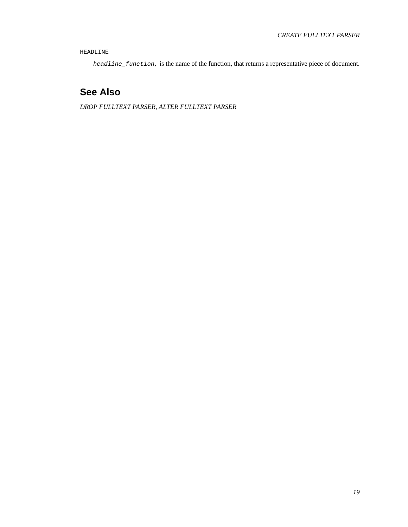HEADLINE

headline\_function, is the name of the function, that returns a representative piece of document.

# **See Also**

*[DROP FULLTEXT PARSER](#page-0-0)*, *[ALTER FULLTEXT PARSER](#page-0-0)*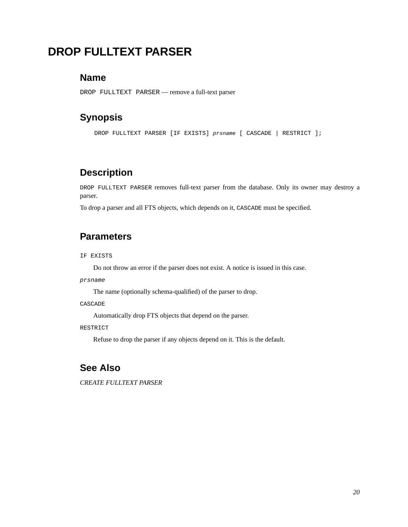# **DROP FULLTEXT PARSER**

#### **Name**

DROP FULLTEXT PARSER — remove a full-text parser

#### **Synopsis**

DROP FULLTEXT PARSER [IF EXISTS] prsname [ CASCADE | RESTRICT ];

#### **Description**

DROP FULLTEXT PARSER removes full-text parser from the database. Only its owner may destroy a parser.

To drop a parser and all FTS objects, which depends on it, CASCADE must be specified.

#### **Parameters**

IF EXISTS

Do not throw an error if the parser does not exist. A notice is issued in this case.

prsname

The name (optionally schema-qualified) of the parser to drop.

CASCADE

Automatically drop FTS objects that depend on the parser.

#### RESTRICT

Refuse to drop the parser if any objects depend on it. This is the default.

#### **See Also**

*[CREATE FULLTEXT PARSER](#page-0-0)*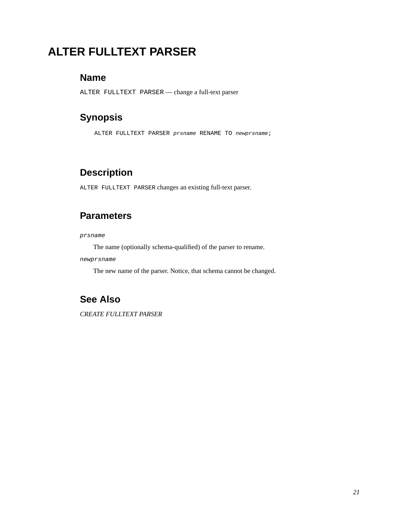# **ALTER FULLTEXT PARSER**

### **Name**

ALTER FULLTEXT PARSER — change a full-text parser

### **Synopsis**

ALTER FULLTEXT PARSER prsname RENAME TO newprsname;

### **Description**

ALTER FULLTEXT PARSER changes an existing full-text parser.

#### **Parameters**

#### prsname

The name (optionally schema-qualified) of the parser to rename.

newprsname

The new name of the parser. Notice, that schema cannot be changed.

## **See Also**

*[CREATE FULLTEXT PARSER](#page-0-0)*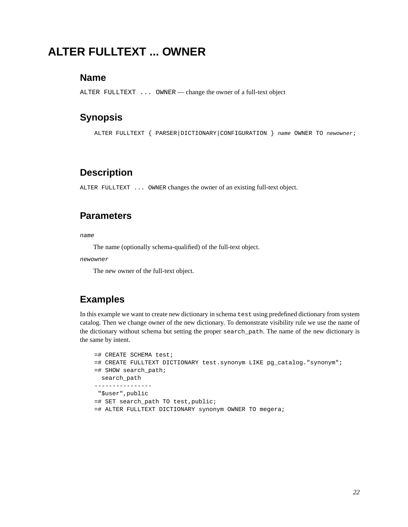# **ALTER FULLTEXT ... OWNER**

#### **Name**

ALTER FULLTEXT ... OWNER — change the owner of a full-text object

#### **Synopsis**

ALTER FULLTEXT { PARSER|DICTIONARY|CONFIGURATION } name OWNER TO newowner;

#### **Description**

ALTER FULLTEXT ... OWNER changes the owner of an existing full-text object.

#### **Parameters**

name

The name (optionally schema-qualified) of the full-text object.

newowner

The new owner of the full-text object.

### **Examples**

In this example we want to create new dictionary in schema test using predefined dictionary from system catalog. Then we change owner of the new dictionary. To demonstrate visibility rule we use the name of the dictionary without schema but setting the proper search\_path. The name of the new dictionary is the same by intent.

```
=# CREATE SCHEMA test;
=# CREATE FULLTEXT DICTIONARY test.synonym LIKE pg_catalog."synonym";
=# SHOW search_path;
 search path
----------------
"$user",public
=# SET search_path TO test,public;
=# ALTER FULLTEXT DICTIONARY synonym OWNER TO megera;
```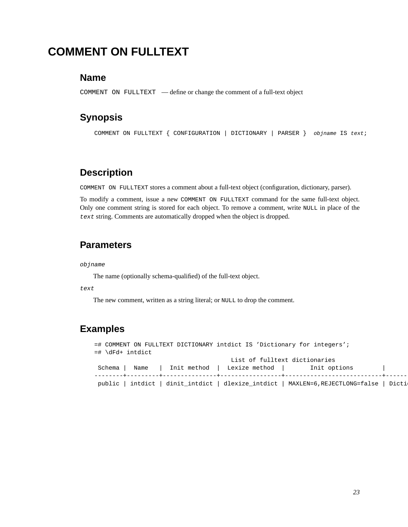# **COMMENT ON FULLTEXT**

#### **Name**

COMMENT ON FULLTEXT — define or change the comment of a full-text object

#### **Synopsis**

COMMENT ON FULLTEXT { CONFIGURATION | DICTIONARY | PARSER } objname IS text;

#### **Description**

COMMENT ON FULLTEXT stores a comment about a full-text object (configuration, dictionary, parser).

To modify a comment, issue a new COMMENT ON FULLTEXT command for the same full-text object. Only one comment string is stored for each object. To remove a comment, write NULL in place of the text string. Comments are automatically dropped when the object is dropped.

#### **Parameters**

#### objname

The name (optionally schema-qualified) of the full-text object.

text

The new comment, written as a string literal; or NULL to drop the comment.

### **Examples**

=# COMMENT ON FULLTEXT DICTIONARY intdict IS 'Dictionary for integers'; =# \dFd+ intdict List of fulltext dictionaries Schema | Name | Init method | Lexize method | Init options | --------+---------+---------------+-----------------+---------------------------+------------------------ public | intdict | dinit\_intdict | dlexize\_intdict | MAXLEN=6,REJECTLONG=false | Dicti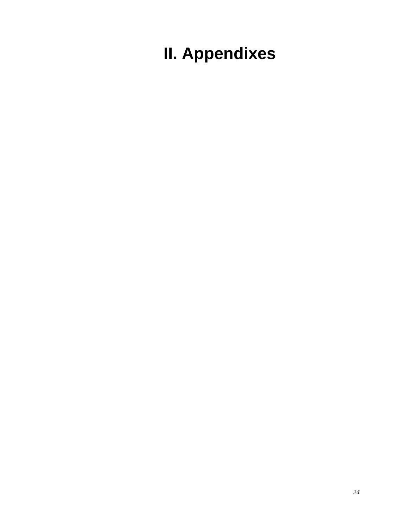**II. Appendixes**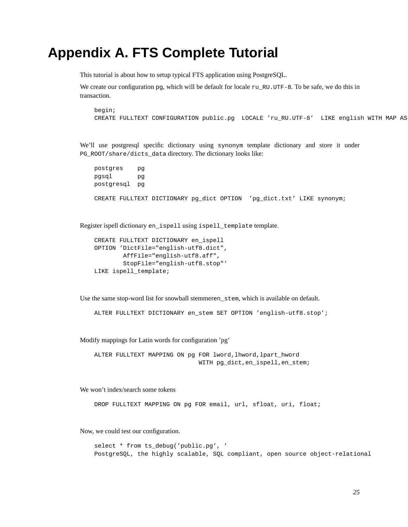# **Appendix A. FTS Complete Tutorial**

This tutorial is about how to setup typical FTS application using PostgreSQL.

We create our configuration  $pq$ , which will be default for locale ru RU.UTF-8. To be safe, we do this in transaction.

begin; CREATE FULLTEXT CONFIGURATION public.pg LOCALE 'ru\_RU.UTF-8' LIKE english WITH MAP AS

We'll use postgresql specific dictionary using synonym template dictionary and store it under PG\_ROOT/share/dicts\_data directory. The dictionary looks like:

postgres pg pgsql pg postgresql pg CREATE FULLTEXT DICTIONARY pg\_dict OPTION 'pg\_dict.txt' LIKE synonym;

Register ispell dictionary en\_ispell using ispell\_template template.

```
CREATE FULLTEXT DICTIONARY en_ispell
OPTION 'DictFile="english-utf8.dict",
        AffFile="english-utf8.aff",
        StopFile="english-utf8.stop"'
LIKE ispell_template;
```
Use the same stop-word list for snowball stemmeren\_stem, which is available on default.

ALTER FULLTEXT DICTIONARY en\_stem SET OPTION 'english-utf8.stop';

Modify mappings for Latin words for configuration 'pg'

ALTER FULLTEXT MAPPING ON pg FOR lword,lhword,lpart\_hword WITH pg\_dict,en\_ispell,en\_stem;

We won't index/search some tokens

DROP FULLTEXT MAPPING ON pg FOR email, url, sfloat, uri, float;

Now, we could test our configuration.

select \* from ts\_debug('public.pg', ' PostgreSQL, the highly scalable, SQL compliant, open source object-relational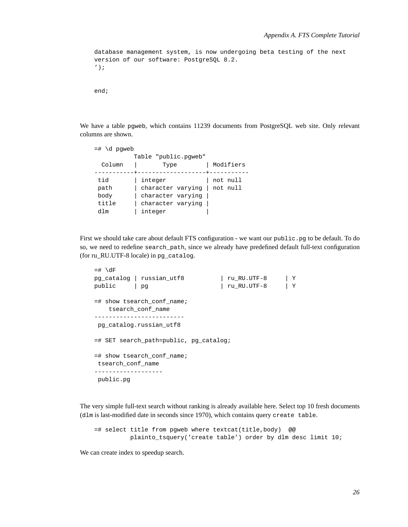```
database management system, is now undergoing beta testing of the next
version of our software: PostgreSQL 8.2.
');
end;
```
We have a table pgweb, which contains 11239 documents from PostgreSQL web site. Only relevant columns are shown.

| $=$ # \d pqweb       |                              |           |  |  |  |  |  |  |  |
|----------------------|------------------------------|-----------|--|--|--|--|--|--|--|
| Table "public.pqweb" |                              |           |  |  |  |  |  |  |  |
| Column               | Type                         | Modifiers |  |  |  |  |  |  |  |
|                      |                              |           |  |  |  |  |  |  |  |
| tid                  | integer                      | not null  |  |  |  |  |  |  |  |
| path                 | character varying   not null |           |  |  |  |  |  |  |  |
| body                 | character varying            |           |  |  |  |  |  |  |  |
| title                | character varying            |           |  |  |  |  |  |  |  |
| dlm                  | integer                      |           |  |  |  |  |  |  |  |

First we should take care about default FTS configuration - we want our public.pg to be default. To do so, we need to redefine search\_path, since we already have predefined default full-text configuration (for ru\_RU.UTF-8 locale) in pg\_catalog.

```
= # \{dFpg_catalog | russian_utf8 | ru_RU.UTF-8 | Y
public | pg | ru_RU.UTF-8 | Y
=# show tsearch_conf_name;
   tsearch_conf_name
-------------------------
pg_catalog.russian_utf8
=# SET search_path=public, pg_catalog;
=# show tsearch_conf_name;
tsearch_conf_name
-------------------
public.pg
```
The very simple full-text search without ranking is already available here. Select top 10 fresh documents (dlm is last-modified date in seconds since 1970), which contains query create table.

```
=# select title from pgweb where textcat(title,body) @@
         plainto_tsquery('create table') order by dlm desc limit 10;
```
We can create index to speedup search.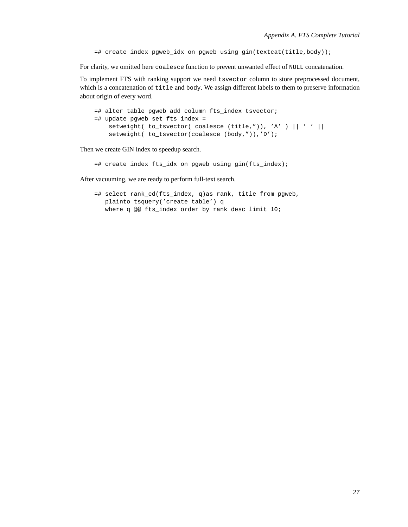=# create index pgweb\_idx on pgweb using gin(textcat(title,body));

For clarity, we omitted here coalesce function to prevent unwanted effect of NULL concatenation.

To implement FTS with ranking support we need tsvector column to store preprocessed document, which is a concatenation of title and body. We assign different labels to them to preserve information about origin of every word.

```
=# alter table pgweb add column fts_index tsvector;
=# update pgweb set fts_index =
   setweight( to_tsvector( coalesce (title,")), 'A' ) || ' ' ||
   setweight( to_tsvector(coalesce (body,")),'D');
```
Then we create GIN index to speedup search.

=# create index fts\_idx on pgweb using gin(fts\_index);

After vacuuming, we are ready to perform full-text search.

```
=# select rank_cd(fts_index, q)as rank, title from pgweb,
  plainto_tsquery('create table') q
  where q @@ fts_index order by rank desc limit 10;
```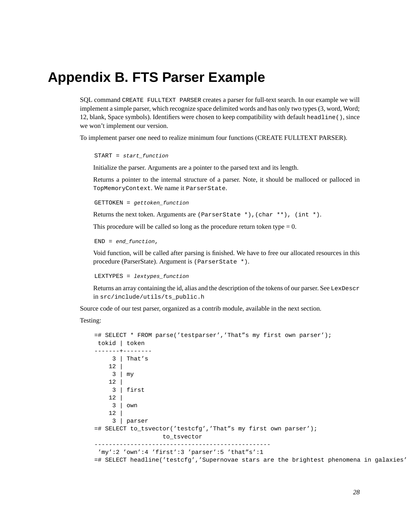# <span id="page-66-0"></span>**Appendix B. FTS Parser Example**

SQL command CREATE FULLTEXT PARSER creates a parser for full-text search. In our example we will implement a simple parser, which recognize space delimited words and has only two types (3, word, Word; 12, blank, Space symbols). Identifiers were chosen to keep compatibility with default headline(), since we won't implement our version.

To implement parser one need to realize minimum four functions ([CREATE FULLTEXT PARSER\)](#page-56-0).

```
START = start_function
```
Initialize the parser. Arguments are a pointer to the parsed text and its length.

Returns a pointer to the internal structure of a parser. Note, it should be malloced or palloced in TopMemoryContext. We name it ParserState.

GETTOKEN = gettoken\_function

Returns the next token. Arguments are (ParserState \*),(char \*\*), (int \*).

This procedure will be called so long as the procedure return token type  $= 0$ .

 $END = end\_function,$ 

Void function, will be called after parsing is finished. We have to free our allocated resources in this procedure (ParserState). Argument is (ParserState \*).

LEXTYPES = lextypes\_function

Returns an array containing the id, alias and the description of the tokens of our parser. See LexDescr in src/include/utils/ts\_public.h

Source code of our test parser, organized as a contrib module, available in the next section.

Testing:

```
=# SELECT * FROM parse('testparser','That"s my first own parser');
tokid | token
-------+--------
    3 | That's
   12 |
    3 | my
   12 |
    3 | first
    12 |
    3 | own
   12 |
    3 | parser
=# SELECT to_tsvector('testcfg','That"s my first own parser');
                  to_tsvector
-------------------------------------------------
'my':2 'own':4 'first':3 'parser':5 'that"s':1
=# SELECT headline('testcfg','Supernovae stars are the brightest phenomena in galaxies'
```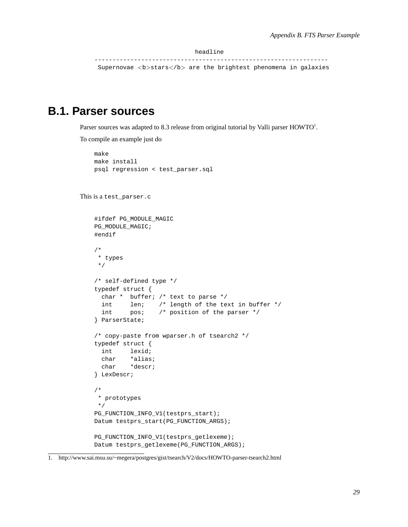headline

----------------------------------------------------------------- Supernovae <b>stars</b> are the brightest phenomena in galaxies

# **B.1. Parser sources**

Parser sources was adapted to 8.3 release from original tutorial by Valli parser  $\rm{HOWTO^{1}}$ .

To compile an example just do

```
make
    make install
   psql regression < test_parser.sql
This is a test_parser.c
    #ifdef PG_MODULE_MAGIC
    PG_MODULE_MAGIC;
    #endif
    /*
    * types
    */
    /* self-defined type */
    typedef struct {
     char * buffer; /* text to parse */
     int len; /* length of the text in buffer */
     int pos; /* position of the parser */
    } ParserState;
    /* copy-paste from wparser.h of tsearch2 */
    typedef struct {
     int lexid;
     char *alias;
     char *descr;
    } LexDescr;
    /*
    * prototypes
    */
    PG_FUNCTION_INFO_V1(testprs_start);
    Datum testprs_start(PG_FUNCTION_ARGS);
    PG_FUNCTION_INFO_V1(testprs_getlexeme);
    Datum testprs_getlexeme(PG_FUNCTION_ARGS);
```
<sup>1.</sup> http://www.sai.msu.su/~megera/postgres/gist/tsearch/V2/docs/HOWTO-parser-tsearch2.html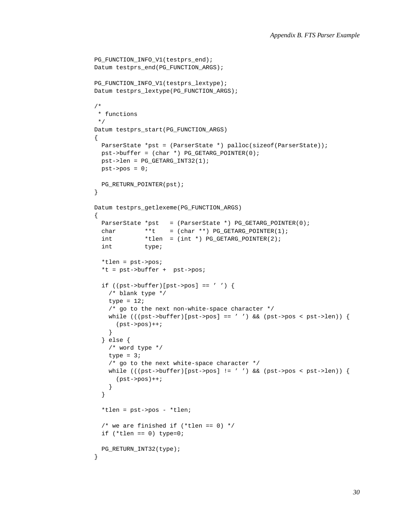```
PG_FUNCTION_INFO_V1(testprs_end);
Datum testprs_end(PG_FUNCTION_ARGS);
PG_FUNCTION_INFO_V1(testprs_lextype);
Datum testprs_lextype(PG_FUNCTION_ARGS);
/*
 * functions
 */
Datum testprs_start(PG_FUNCTION_ARGS)
{
 ParserState *pst = (ParserState *) palloc(sizeof(ParserState));
 pst->buffer = (char *) PG_GETARG_POINTER(0);
 pst->len = PG_GETARG_INT32(1);
 pst\text{-}pos = 0;PG_RETURN_POINTER(pst);
}
Datum testprs_getlexeme(PG_FUNCTION_ARGS)
{
 ParserState *pst = (ParserState * ) PG GETARG_POINTER(0);char ***t = (char **) PG GETARG POINTER(1);int *tlen = (int *) PG_GETARG_POINTER(2);
  int type;
  *tlen = pst->pos;
  *t = pst->buffer + pst->pos;
 if ((pst->buffer)[pst->pos] == ' ')/* blank type */
   type = 12i/* go to the next non-white-space character */
   while (((pst->buffer)[pst->pos] == ' '') && (pst->pos &pst->len))(pst->pos)++;}
  } else {
   /* word type */
   type = 3;
   /* go to the next white-space character */while (((pst->buffer)[pst->pos] != ' '') && (pst->pos < pt->len)) {
     (pst->pos)++;}
  }
  *tlen = pst->pos - *tlen;
  /* we are finished if (*then == 0) */
 if (*then == 0) type=0;PG_RETURN_INT32(type);
}
```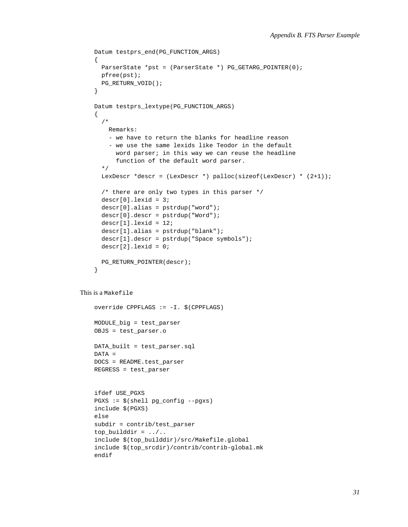```
Datum testprs_end(PG_FUNCTION_ARGS)
    {
     ParserState *pst = (ParserState *) PG_GETARG_POINTER(0);
     pfree(pst);
     PG_RETURN_VOID();
    }
    Datum testprs_lextype(PG_FUNCTION_ARGS)
    {
      /*
        Remarks:
        - we have to return the blanks for headline reason
        - we use the same lexids like Teodor in the default
          word parser; in this way we can reuse the headline
          function of the default word parser.
      */
     LexDescr *descr = (LexDescr *) palloc(sizeof(LexDescr) * (2+1));
      /* there are only two types in this parser */
     descr[0].lexid = 3;descr[0].alias = pstrdup("word");
     descr[0].descr = pstrdup("Word");
     descr[1].lexid = 12;descr[1].alias = pstrdup("blank");descr[1].descr = pstrdup("Space symbols");
     descr[2].lexid = 0;
     PG_RETURN_POINTER(descr);
    }
This is a Makefile
   override CPPFLAGS := -I. $(CPPFLAGS)
   MODULE_big = test_parser
   OBJS = test_parser.o
   DATA_built = test_parser.sql
   DATA =
   DOCS = README.test_parser
   REGRESS = test_parser
   ifdef USE_PGXS
   PGXS := $(shell pg_config --pgxs)
   include $(PGXS)
   else
    subdir = contrib/test_parser
    top\_builddir = ../..include $(top_builddir)/src/Makefile.global
    include $(top_srcdir)/contrib/contrib-global.mk
    endif
```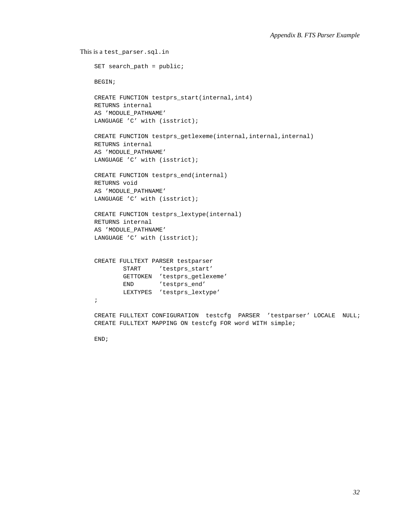```
This is a test_parser.sql.in
    SET search_path = public;
   BEGIN;
   CREATE FUNCTION testprs_start(internal,int4)
   RETURNS internal
   AS 'MODULE_PATHNAME'
   LANGUAGE 'C' with (isstrict);
   CREATE FUNCTION testprs_getlexeme(internal,internal,internal)
   RETURNS internal
   AS 'MODULE_PATHNAME'
   LANGUAGE 'C' with (isstrict);
   CREATE FUNCTION testprs_end(internal)
   RETURNS void
   AS 'MODULE_PATHNAME'
   LANGUAGE 'C' with (isstrict);
   CREATE FUNCTION testprs_lextype(internal)
   RETURNS internal
   AS 'MODULE_PATHNAME'
   LANGUAGE 'C' with (isstrict);
   CREATE FULLTEXT PARSER testparser
           START 'testprs_start'
           GETTOKEN 'testprs_getlexeme'
           END 'testprs end'
           LEXTYPES 'testprs_lextype'
    ;
   CREATE FULLTEXT CONFIGURATION testcfg PARSER 'testparser' LOCALE NULL;
   CREATE FULLTEXT MAPPING ON testcfg FOR word WITH simple;
```
END;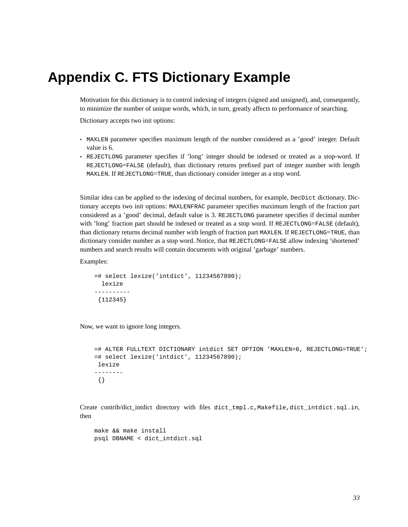# **Appendix C. FTS Dictionary Example**

Motivation for this dictionary is to control indexing of integers (signed and unsigned), and, consequently, to minimize the number of unique words, which, in turn, greatly affects to performance of searching.

Dictionary accepts two init options:

- MAXLEN parameter specifies maximum length of the number considered as a 'good' integer. Default value is 6.
- REJECTLONG parameter specifies if 'long' integer should be indexed or treated as a stop-word. If REJECTLONG=FALSE (default), than dictionary returns prefixed part of integer number with length MAXLEN. If REJECTLONG=TRUE, than dictionary consider integer as a stop word.

Similar idea can be applied to the indexing of decimal numbers, for example, DecDict dictionary. Dictionary accepts two init options: MAXLENFRAC parameter specifies maximum length of the fraction part considered as a 'good' decimal, default value is 3. REJECTLONG parameter specifies if decimal number with 'long' fraction part should be indexed or treated as a stop word. If REJECTLONG=FALSE (default), than dictionary returns decimal number with length of fraction part MAXLEN. If REJECTLONG=TRUE, than dictionary consider number as a stop word. Notice, that REJECTLONG=FALSE allow indexing 'shortened' numbers and search results will contain documents with original 'garbage' numbers.

Examples:

```
=# select lexize('intdict', 11234567890);
 lexize
----------
 {112345}
```
Now, we want to ignore long integers.

```
=# ALTER FULLTEXT DICTIONARY intdict SET OPTION 'MAXLEN=6, REJECTLONG=TRUE';
=# select lexize('intdict', 11234567890);
lexize
--------
 {}
```
Create contrib/dict intdict directory with files dict tmpl.c,Makefile,dict intdict.sql.in, then

```
make && make install
psql DBNAME < dict_intdict.sql
```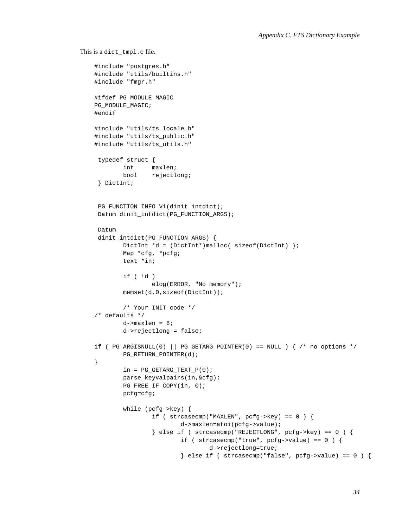```
This is a dict_tmpl.c file.
```

```
#include "postgres.h"
#include "utils/builtins.h"
#include "fmgr.h"
#ifdef PG_MODULE_MAGIC
PG_MODULE_MAGIC;
#endif
#include "utils/ts_locale.h"
#include "utils/ts_public.h"
#include "utils/ts_utils.h"
typedef struct {
        int maxlen;
       bool rejectlong;
} DictInt;
PG_FUNCTION_INFO_V1(dinit_intdict);
Datum dinit intdict(PG_FUNCTION_ARGS);
Datum
dinit_intdict(PG_FUNCTION_ARGS) {
       DictInt *d = (DictInt*)malloc( sizeof(DictInt) );
       Map *cfg, *pcfg;
       text *in;
        if ( !d )
                elog(ERROR, "No memory");
        memset(d,0,sizeof(DictInt));
        /* Your INIT code */
/* defaults */d->maxlen = 6;
       d->rejectlong = false;
if ( PG\_ARGISNULL(0) || PG\_GETARG\_POINTER(0) == NULL ) { /* no options */
        PG_RETURN_POINTER(d);
}
       in = PG\_GETARG_TEXT_P(0);parse_keyvalpairs(in,&cfg);
       PG_FREE_IF_COPY(in, 0);
       pcfg=cfg;
        while (pcfg->key) {
                if ( strcasecmp("MAXLEN", pcf pcfg->key) == 0 ) {
                        d->maxlen=atoi(pcfg->value);
                } else if ( strcasecmp("REJECTLONG", pcfg->key) == 0 ) {
                        if ( strcasecmp("true", pcfg->value) == 0 ) {
                                d->rejectlong=true;
                        \} else if ( strcasecmp("false", pcfg->value) == 0 ) {
```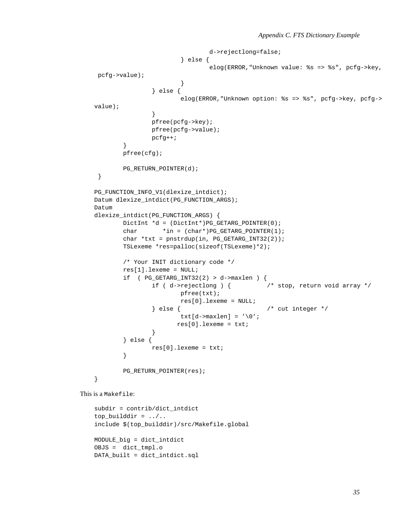```
d->rejectlong=false;
                        } else {
                               elog(ERROR,"Unknown value: %s => %s", pcfg->key,
pcfg->value);
                        }
               } else {
                       elog(ERROR,"Unknown option: %s => %s", pcfg->key, pcfg->
value);
                }
               pfree(pcfg->key);
               pfree(pcfg->value);
               pcfg++;
        }
       pfree(cfg);
       PG_RETURN_POINTER(d);
}
PG_FUNCTION_INFO_V1(dlexize_intdict);
Datum dlexize_intdict(PG_FUNCTION_ARGS);
Datum
dlexize_intdict(PG_FUNCTION_ARGS) {
       DictInt *d = (DictInt*)PG_GETARG_POINTER(0);
       char *in = (char*)PG GETARG POINTER(1);
       char *txt = pnstrdup(in, PG\_GETARG_INT32(2));TSLexeme *res=palloc(sizeof(TSLexeme)*2);
       /* Your INIT dictionary code */
       res[1].lexeme = NULL;
       if ( PG\_GETARG\_INT32(2) > d->maxlen ) {
               if ( d->rejectlong ) { /* stop, return void array */
                       pfree(txt);
                       res[0].lexeme = NULL;
                } else { /* cut integer */
                        txt[d-\text{maxlen}] = ' \0';
                      res[0].lexeme = txti;}
        } else {
               res[0].lexeme = txt;
        }
       PG_RETURN_POINTER(res);
}
```
This is a Makefile:

```
subdir = contrib/dict_intdict
top\_builddir = ../..include $(top_builddir)/src/Makefile.global
MODULE_big = dict_intdict
OBJS = dict_tmpl.o
DATA_built = dict_intdict.sql
```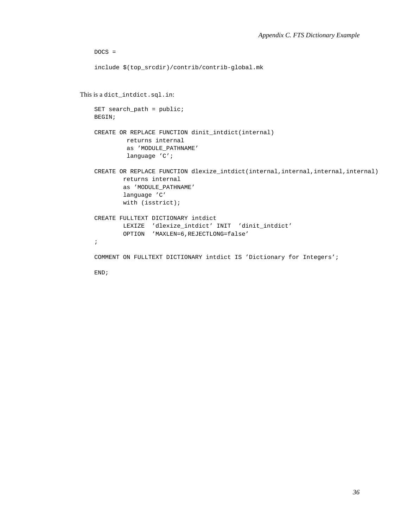```
DOCS =include $(top_srcdir)/contrib/contrib-global.mk
This is a dict_intdict.sql.in:
   SET search_path = public;
   BEGIN;
   CREATE OR REPLACE FUNCTION dinit_intdict(internal)
            returns internal
            as 'MODULE_PATHNAME'
            language 'C';
   CREATE OR REPLACE FUNCTION dlexize_intdict(internal,internal,internal,internal)
           returns internal
           as 'MODULE_PATHNAME'
           language 'C'
           with (isstrict);
   CREATE FULLTEXT DICTIONARY intdict
           LEXIZE 'dlexize_intdict' INIT 'dinit_intdict'
           OPTION 'MAXLEN=6,REJECTLONG=false'
    ;
   COMMENT ON FULLTEXT DICTIONARY intdict IS 'Dictionary for Integers';
   END;
```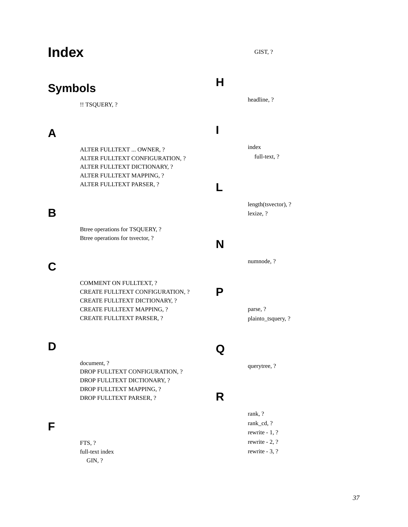# **Index**

## **Symbols**

!! TSQUERY, ?

### **A**

ALTER FULLTEXT ... OWNER, ? ALTER FULLTEXT CONFIGURATION, ? ALTER FULLTEXT DICTIONARY, ? ALTER FULLTEXT MAPPING, ? ALTER FULLTEXT PARSER, ?

### **B**

Btree operations for TSQUERY, ? Btree operations for tsvector, ?

## **C**

COMMENT ON FULLTEXT, ? CREATE FULLTEXT CONFIGURATION, ? CREATE FULLTEXT DICTIONARY, ? CREATE FULLTEXT MAPPING, ? CREATE FULLTEXT PARSER, ?

## **D**

document, ? DROP FULLTEXT CONFIGURATION, ? DROP FULLTEXT DICTIONARY, ? DROP FULLTEXT MAPPING, ? DROP FULLTEXT PARSER, ?

### **F**

FTS. ? full-text index GIN, ?

#### **H**

headline, ?

GIST, ?

# **I**

index full-text, ?

### **L**

length(tsvector), ? lexize, ?

### **N**

numnode, ?

### **P**

parse, ? plainto\_tsquery, ?

### **Q**

querytree, ?

### **R**

rank, ? rank\_cd, ? rewrite - 1, ? rewrite - 2, ? rewrite - 3, ?